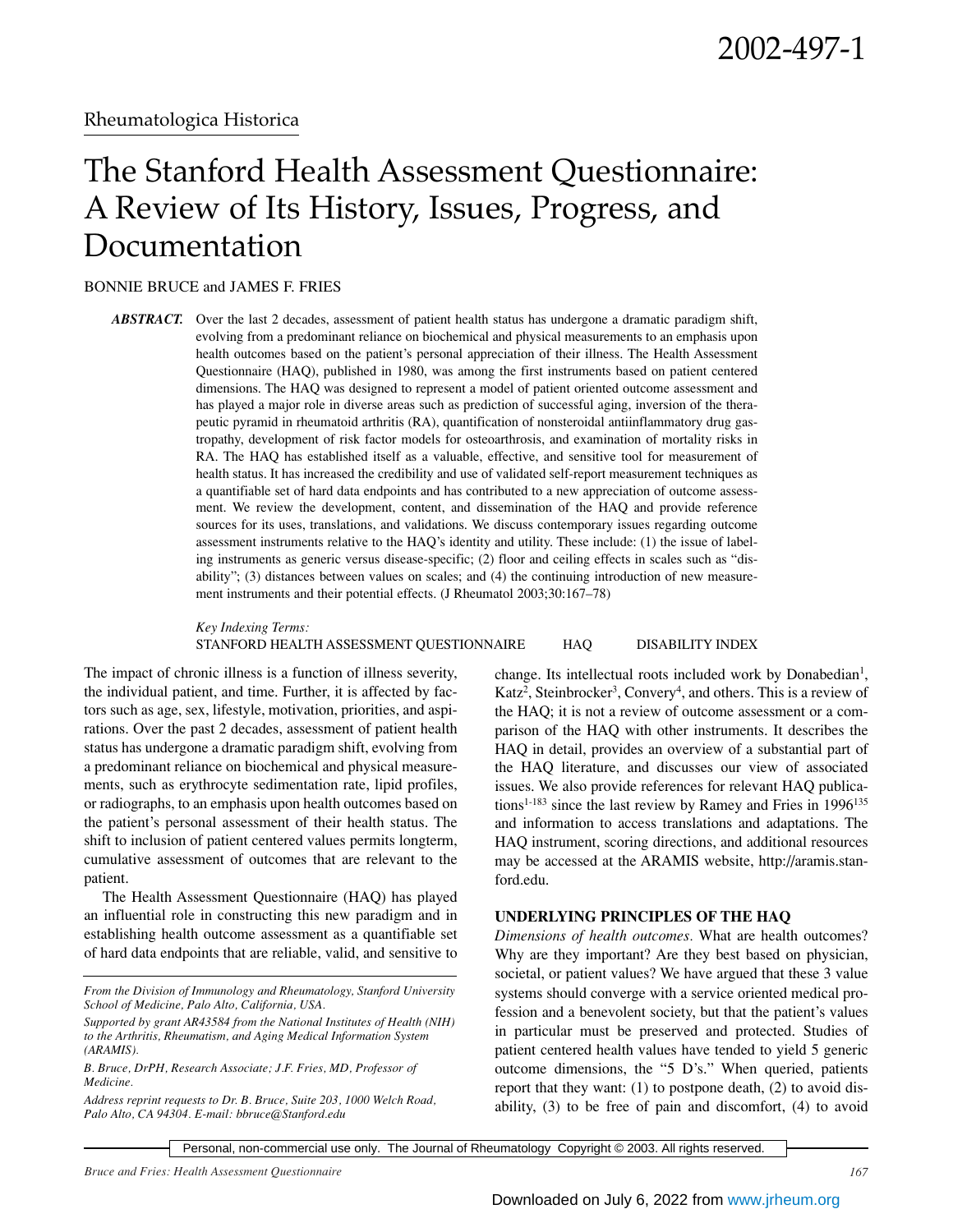# The Stanford Health Assessment Questionnaire: A Review of Its History, Issues, Progress, and Documentation

## BONNIE BRUCE and JAMES F. FRIES

*ABSTRACT.* Over the last 2 decades, assessment of patient health status has undergone a dramatic paradigm shift, evolving from a predominant reliance on biochemical and physical measurements to an emphasis upon health outcomes based on the patient's personal appreciation of their illness. The Health Assessment Questionnaire (HAQ), published in 1980, was among the first instruments based on patient centered dimensions. The HAQ was designed to represent a model of patient oriented outcome assessment and has played a major role in diverse areas such as prediction of successful aging, inversion of the therapeutic pyramid in rheumatoid arthritis (RA), quantification of nonsteroidal antiinflammatory drug gastropathy, development of risk factor models for osteoarthrosis, and examination of mortality risks in RA. The HAQ has established itself as a valuable, effective, and sensitive tool for measurement of health status. It has increased the credibility and use of validated self-report measurement techniques as a quantifiable set of hard data endpoints and has contributed to a new appreciation of outcome assessment. We review the development, content, and dissemination of the HAQ and provide reference sources for its uses, translations, and validations. We discuss contemporary issues regarding outcome assessment instruments relative to the HAQ's identity and utility. These include: (1) the issue of labeling instruments as generic versus disease-specific; (2) floor and ceiling effects in scales such as "disability"; (3) distances between values on scales; and (4) the continuing introduction of new measurement instruments and their potential effects. (J Rheumatol 2003;30:167–78)

> *Key Indexing Terms:* STANFORD HEALTH ASSESSMENT QUESTIONNAIRE HAQ DISABILITY INDEX

The impact of chronic illness is a function of illness severity, the individual patient, and time. Further, it is affected by factors such as age, sex, lifestyle, motivation, priorities, and aspirations. Over the past 2 decades, assessment of patient health status has undergone a dramatic paradigm shift, evolving from a predominant reliance on biochemical and physical measurements, such as erythrocyte sedimentation rate, lipid profiles, or radiographs, to an emphasis upon health outcomes based on the patient's personal assessment of their health status. The shift to inclusion of patient centered values permits longterm, cumulative assessment of outcomes that are relevant to the patient.

The Health Assessment Questionnaire (HAQ) has played an influential role in constructing this new paradigm and in establishing health outcome assessment as a quantifiable set of hard data endpoints that are reliable, valid, and sensitive to

*B. Bruce, DrPH, Research Associate; J.F. Fries, MD, Professor of Medicine.*

*Address reprint requests to Dr. B. Bruce, Suite 203, 1000 Welch Road, Palo Alto, CA 94304. E-mail: bbruce@Stanford.edu*

change. Its intellectual roots included work by Donabedian<sup>1</sup>, Katz<sup>2</sup>, Steinbrocker<sup>3</sup>, Convery<sup>4</sup>, and others. This is a review of the HAQ; it is not a review of outcome assessment or a comparison of the HAQ with other instruments. It describes the HAQ in detail, provides an overview of a substantial part of the HAQ literature, and discusses our view of associated issues. We also provide references for relevant HAQ publications<sup>1-183</sup> since the last review by Ramey and Fries in  $1996^{135}$ and information to access translations and adaptations. The HAQ instrument, scoring directions, and additional resources may be accessed at the ARAMIS website, http://aramis.stanford.edu.

## **UNDERLYING PRINCIPLES OF THE HAQ**

*Dimensions of health outcomes.* What are health outcomes? Why are they important? Are they best based on physician, societal, or patient values? We have argued that these 3 value systems should converge with a service oriented medical profession and a benevolent society, but that the patient's values in particular must be preserved and protected. Studies of patient centered health values have tended to yield 5 generic outcome dimensions, the "5 D's." When queried, patients report that they want: (1) to postpone death, (2) to avoid disability, (3) to be free of pain and discomfort, (4) to avoid

*From the Division of Immunology and Rheumatology, Stanford University School of Medicine, Palo Alto, California, USA.* 

*Supported by grant AR43584 from the National Institutes of Health (NIH) to the Arthritis, Rheumatism, and Aging Medical Information System (ARAMIS).*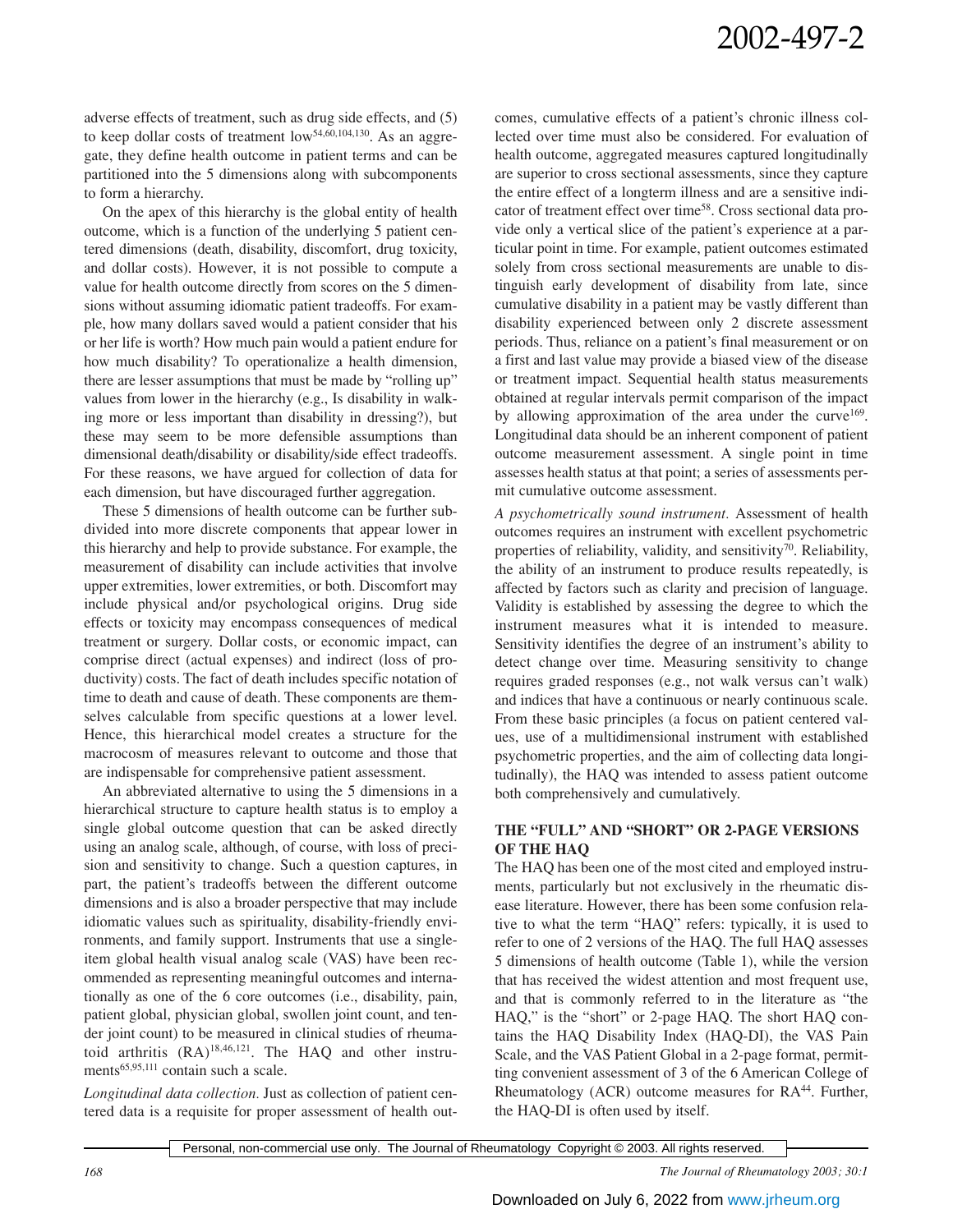adverse effects of treatment, such as drug side effects, and (5) to keep dollar costs of treatment  $low^{54,60,104,130}$ . As an aggregate, they define health outcome in patient terms and can be partitioned into the 5 dimensions along with subcomponents to form a hierarchy.

On the apex of this hierarchy is the global entity of health outcome, which is a function of the underlying 5 patient centered dimensions (death, disability, discomfort, drug toxicity, and dollar costs). However, it is not possible to compute a value for health outcome directly from scores on the 5 dimensions without assuming idiomatic patient tradeoffs. For example, how many dollars saved would a patient consider that his or her life is worth? How much pain would a patient endure for how much disability? To operationalize a health dimension, there are lesser assumptions that must be made by "rolling up" values from lower in the hierarchy (e.g., Is disability in walking more or less important than disability in dressing?), but these may seem to be more defensible assumptions than dimensional death/disability or disability/side effect tradeoffs. For these reasons, we have argued for collection of data for each dimension, but have discouraged further aggregation.

These 5 dimensions of health outcome can be further subdivided into more discrete components that appear lower in this hierarchy and help to provide substance. For example, the measurement of disability can include activities that involve upper extremities, lower extremities, or both. Discomfort may include physical and/or psychological origins. Drug side effects or toxicity may encompass consequences of medical treatment or surgery. Dollar costs, or economic impact, can comprise direct (actual expenses) and indirect (loss of productivity) costs. The fact of death includes specific notation of time to death and cause of death. These components are themselves calculable from specific questions at a lower level. Hence, this hierarchical model creates a structure for the macrocosm of measures relevant to outcome and those that are indispensable for comprehensive patient assessment.

An abbreviated alternative to using the 5 dimensions in a hierarchical structure to capture health status is to employ a single global outcome question that can be asked directly using an analog scale, although, of course, with loss of precision and sensitivity to change. Such a question captures, in part, the patient's tradeoffs between the different outcome dimensions and is also a broader perspective that may include idiomatic values such as spirituality, disability-friendly environments, and family support. Instruments that use a singleitem global health visual analog scale (VAS) have been recommended as representing meaningful outcomes and internationally as one of the 6 core outcomes (i.e., disability, pain, patient global, physician global, swollen joint count, and tender joint count) to be measured in clinical studies of rheumatoid arthritis (RA)18,46,121. The HAQ and other instruments65,95,111 contain such a scale.

*Longitudinal data collection.* Just as collection of patient centered data is a requisite for proper assessment of health outcomes, cumulative effects of a patient's chronic illness collected over time must also be considered. For evaluation of health outcome, aggregated measures captured longitudinally are superior to cross sectional assessments, since they capture the entire effect of a longterm illness and are a sensitive indicator of treatment effect over time58. Cross sectional data provide only a vertical slice of the patient's experience at a particular point in time. For example, patient outcomes estimated solely from cross sectional measurements are unable to distinguish early development of disability from late, since cumulative disability in a patient may be vastly different than disability experienced between only 2 discrete assessment periods. Thus, reliance on a patient's final measurement or on a first and last value may provide a biased view of the disease or treatment impact. Sequential health status measurements obtained at regular intervals permit comparison of the impact by allowing approximation of the area under the curve<sup>169</sup>. Longitudinal data should be an inherent component of patient outcome measurement assessment. A single point in time assesses health status at that point; a series of assessments permit cumulative outcome assessment.

*A psychometrically sound instrument.* Assessment of health outcomes requires an instrument with excellent psychometric properties of reliability, validity, and sensitivity<sup>70</sup>. Reliability, the ability of an instrument to produce results repeatedly, is affected by factors such as clarity and precision of language. Validity is established by assessing the degree to which the instrument measures what it is intended to measure. Sensitivity identifies the degree of an instrument's ability to detect change over time. Measuring sensitivity to change requires graded responses (e.g., not walk versus can't walk) and indices that have a continuous or nearly continuous scale. From these basic principles (a focus on patient centered values, use of a multidimensional instrument with established psychometric properties, and the aim of collecting data longitudinally), the HAQ was intended to assess patient outcome both comprehensively and cumulatively.

# **THE "FULL" AND "SHORT" OR 2-PAGE VERSIONS OF THE HAQ**

The HAQ has been one of the most cited and employed instruments, particularly but not exclusively in the rheumatic disease literature. However, there has been some confusion relative to what the term "HAQ" refers: typically, it is used to refer to one of 2 versions of the HAQ. The full HAQ assesses 5 dimensions of health outcome (Table 1), while the version that has received the widest attention and most frequent use, and that is commonly referred to in the literature as "the HAQ," is the "short" or 2-page HAQ. The short HAQ contains the HAQ Disability Index (HAQ-DI), the VAS Pain Scale, and the VAS Patient Global in a 2-page format, permitting convenient assessment of 3 of the 6 American College of Rheumatology (ACR) outcome measures for  $RA<sup>44</sup>$ . Further, the HAQ-DI is often used by itself.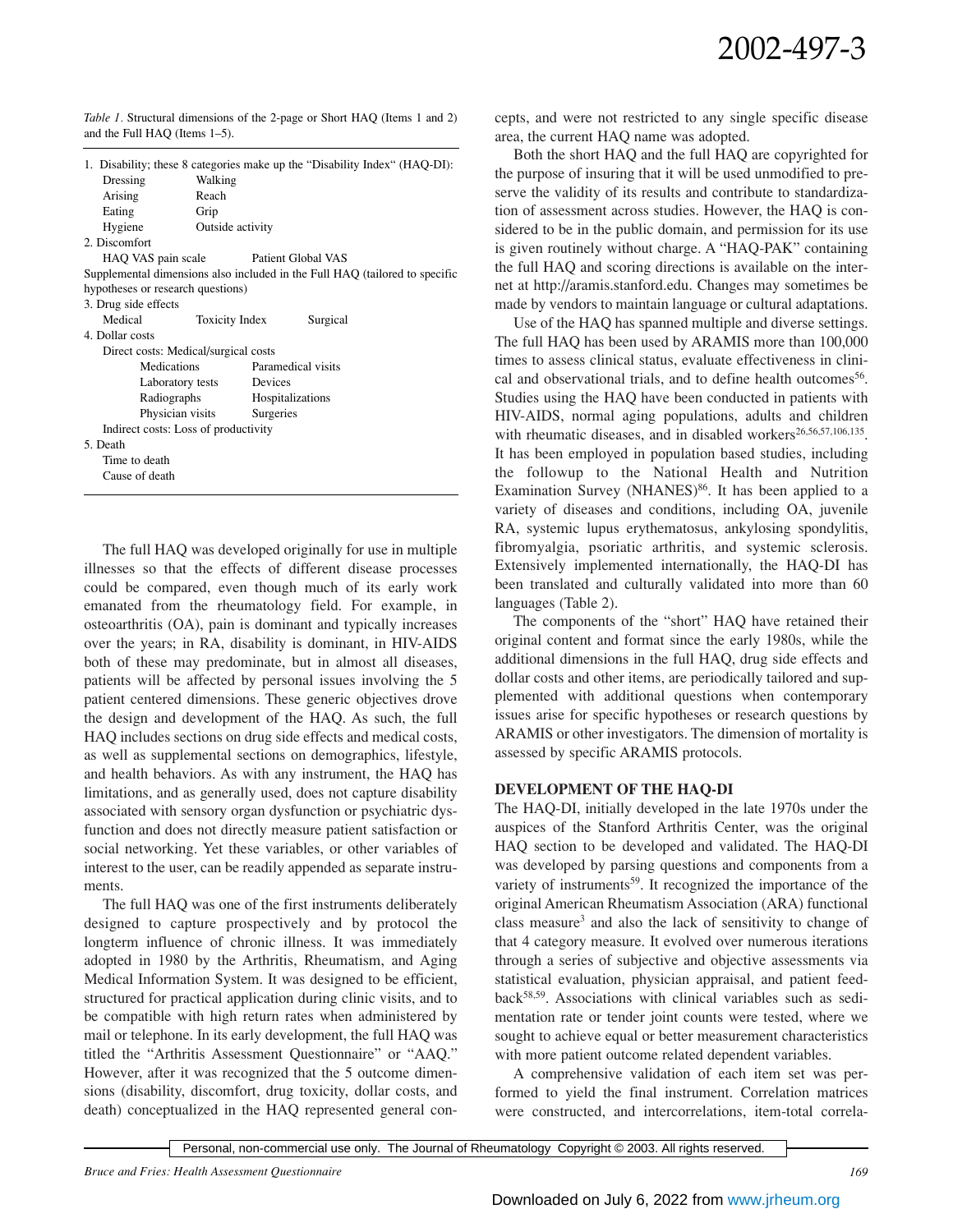*Table 1.* Structural dimensions of the 2-page or Short HAQ (Items 1 and 2) and the Full HAQ (Items 1–5).

|                                                                             |                  | 1. Disability; these 8 categories make up the "Disability Index" (HAQ-DI): |
|-----------------------------------------------------------------------------|------------------|----------------------------------------------------------------------------|
| Dressing                                                                    | Walking          |                                                                            |
| Arising                                                                     | Reach            |                                                                            |
| Eating                                                                      | Grip             |                                                                            |
| Hygiene                                                                     | Outside activity |                                                                            |
| 2. Discomfort                                                               |                  |                                                                            |
| HAQ VAS pain scale                                                          |                  | Patient Global VAS                                                         |
| Supplemental dimensions also included in the Full HAQ (tailored to specific |                  |                                                                            |
| hypotheses or research questions)                                           |                  |                                                                            |
| 3. Drug side effects                                                        |                  |                                                                            |
| Medical                                                                     | Toxicity Index   | Surgical                                                                   |
| 4. Dollar costs                                                             |                  |                                                                            |
| Direct costs: Medical/surgical costs                                        |                  |                                                                            |
| <b>Medications</b>                                                          |                  | Paramedical visits                                                         |
| Laboratory tests Devices                                                    |                  |                                                                            |
| Radiographs                                                                 |                  | Hospitalizations                                                           |
| Physician visits Surgeries                                                  |                  |                                                                            |
| Indirect costs: Loss of productivity                                        |                  |                                                                            |
| 5. Death                                                                    |                  |                                                                            |
| Time to death                                                               |                  |                                                                            |
| Cause of death                                                              |                  |                                                                            |
|                                                                             |                  |                                                                            |

The full HAQ was developed originally for use in multiple illnesses so that the effects of different disease processes could be compared, even though much of its early work emanated from the rheumatology field. For example, in osteoarthritis (OA), pain is dominant and typically increases over the years; in RA, disability is dominant, in HIV-AIDS both of these may predominate, but in almost all diseases, patients will be affected by personal issues involving the 5 patient centered dimensions. These generic objectives drove the design and development of the HAQ. As such, the full HAQ includes sections on drug side effects and medical costs, as well as supplemental sections on demographics, lifestyle, and health behaviors. As with any instrument, the HAQ has limitations, and as generally used, does not capture disability associated with sensory organ dysfunction or psychiatric dysfunction and does not directly measure patient satisfaction or social networking. Yet these variables, or other variables of interest to the user, can be readily appended as separate instruments.

The full HAQ was one of the first instruments deliberately designed to capture prospectively and by protocol the longterm influence of chronic illness. It was immediately adopted in 1980 by the Arthritis, Rheumatism, and Aging Medical Information System. It was designed to be efficient, structured for practical application during clinic visits, and to be compatible with high return rates when administered by mail or telephone. In its early development, the full HAQ was titled the "Arthritis Assessment Questionnaire" or "AAQ." However, after it was recognized that the 5 outcome dimensions (disability, discomfort, drug toxicity, dollar costs, and death) conceptualized in the HAQ represented general concepts, and were not restricted to any single specific disease area, the current HAQ name was adopted.

Both the short HAQ and the full HAQ are copyrighted for the purpose of insuring that it will be used unmodified to preserve the validity of its results and contribute to standardization of assessment across studies. However, the HAQ is considered to be in the public domain, and permission for its use is given routinely without charge. A "HAQ-PAK" containing the full HAQ and scoring directions is available on the internet at http://aramis.stanford.edu. Changes may sometimes be made by vendors to maintain language or cultural adaptations.

Use of the HAQ has spanned multiple and diverse settings. The full HAQ has been used by ARAMIS more than 100,000 times to assess clinical status, evaluate effectiveness in clinical and observational trials, and to define health outcomes<sup>56</sup>. Studies using the HAQ have been conducted in patients with HIV-AIDS, normal aging populations, adults and children with rheumatic diseases, and in disabled workers<sup>26,56,57,106,135</sup>. It has been employed in population based studies, including the followup to the National Health and Nutrition Examination Survey (NHANES) $86$ . It has been applied to a variety of diseases and conditions, including OA, juvenile RA, systemic lupus erythematosus, ankylosing spondylitis, fibromyalgia, psoriatic arthritis, and systemic sclerosis. Extensively implemented internationally, the HAQ-DI has been translated and culturally validated into more than 60 languages (Table 2).

The components of the "short" HAQ have retained their original content and format since the early 1980s, while the additional dimensions in the full HAQ, drug side effects and dollar costs and other items, are periodically tailored and supplemented with additional questions when contemporary issues arise for specific hypotheses or research questions by ARAMIS or other investigators. The dimension of mortality is assessed by specific ARAMIS protocols.

#### **DEVELOPMENT OF THE HAQ-DI**

The HAQ-DI, initially developed in the late 1970s under the auspices of the Stanford Arthritis Center, was the original HAQ section to be developed and validated. The HAQ-DI was developed by parsing questions and components from a variety of instruments<sup>59</sup>. It recognized the importance of the original American Rheumatism Association (ARA) functional class measure3 and also the lack of sensitivity to change of that 4 category measure. It evolved over numerous iterations through a series of subjective and objective assessments via statistical evaluation, physician appraisal, and patient feedback<sup>58,59</sup>. Associations with clinical variables such as sedimentation rate or tender joint counts were tested, where we sought to achieve equal or better measurement characteristics with more patient outcome related dependent variables.

A comprehensive validation of each item set was performed to yield the final instrument. Correlation matrices were constructed, and intercorrelations, item-total correla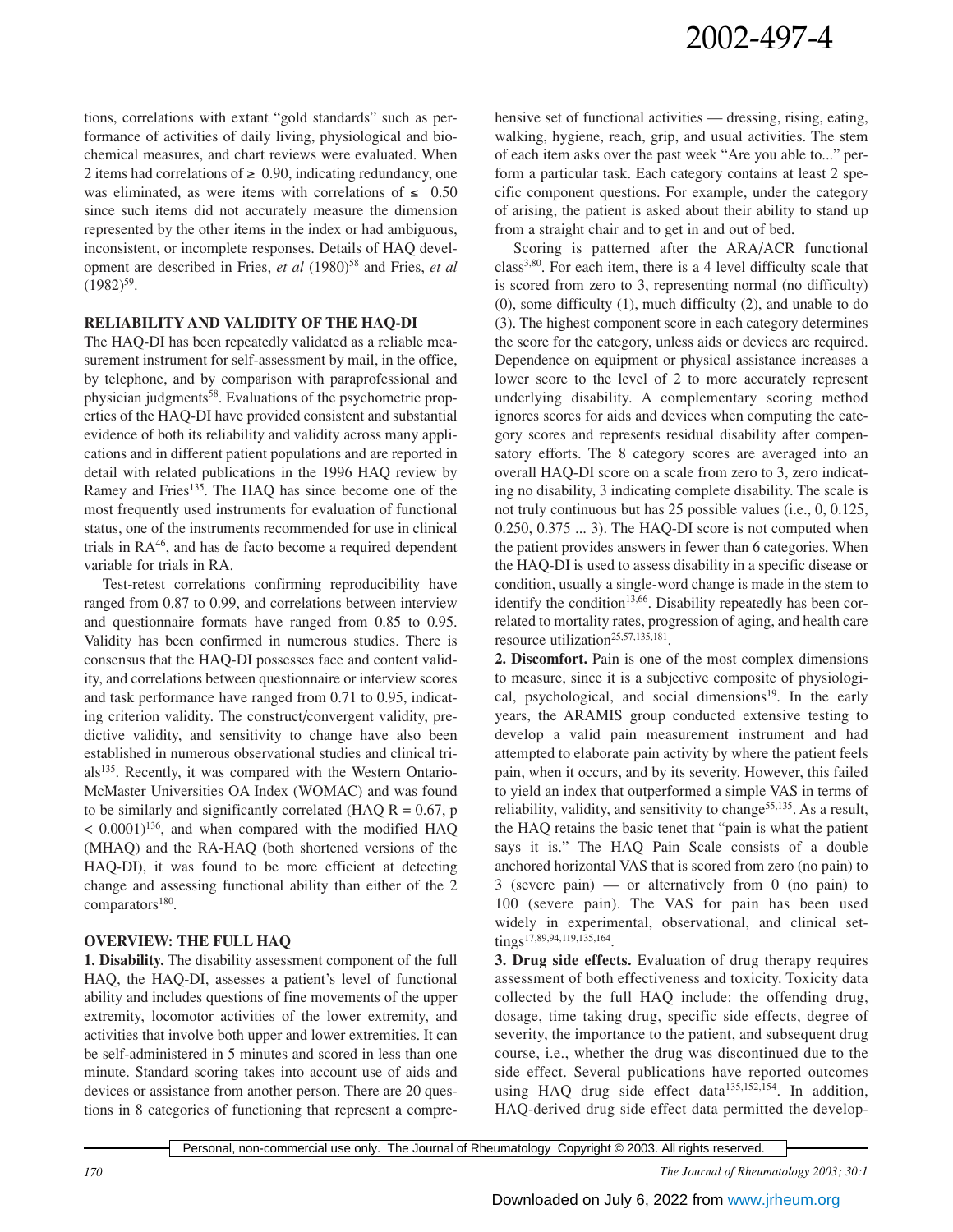tions, correlations with extant "gold standards" such as performance of activities of daily living, physiological and biochemical measures, and chart reviews were evaluated. When 2 items had correlations of  $\geq 0.90$ , indicating redundancy, one was eliminated, as were items with correlations of  $\leq 0.50$ since such items did not accurately measure the dimension represented by the other items in the index or had ambiguous, inconsistent, or incomplete responses. Details of HAQ development are described in Fries, *et al* (1980)<sup>58</sup> and Fries, *et al*  $(1982)^{59}$ .

## **RELIABILITY AND VALIDITY OF THE HAQ-DI**

The HAQ-DI has been repeatedly validated as a reliable measurement instrument for self-assessment by mail, in the office, by telephone, and by comparison with paraprofessional and physician judgments<sup>58</sup>. Evaluations of the psychometric properties of the HAQ-DI have provided consistent and substantial evidence of both its reliability and validity across many applications and in different patient populations and are reported in detail with related publications in the 1996 HAQ review by Ramey and Fries<sup>135</sup>. The HAQ has since become one of the most frequently used instruments for evaluation of functional status, one of the instruments recommended for use in clinical trials in RA46, and has de facto become a required dependent variable for trials in RA.

Test-retest correlations confirming reproducibility have ranged from 0.87 to 0.99, and correlations between interview and questionnaire formats have ranged from 0.85 to 0.95. Validity has been confirmed in numerous studies. There is consensus that the HAQ-DI possesses face and content validity, and correlations between questionnaire or interview scores and task performance have ranged from 0.71 to 0.95, indicating criterion validity. The construct/convergent validity, predictive validity, and sensitivity to change have also been established in numerous observational studies and clinical tri $als<sup>135</sup>$ . Recently, it was compared with the Western Ontario-McMaster Universities OA Index (WOMAC) and was found to be similarly and significantly correlated (HAQ  $R = 0.67$ , p  $< 0.0001$ <sup>136</sup>, and when compared with the modified HAQ (MHAQ) and the RA-HAQ (both shortened versions of the HAQ-DI), it was found to be more efficient at detecting change and assessing functional ability than either of the 2 comparators<sup>180</sup>.

# **OVERVIEW: THE FULL HAQ**

**1. Disability.** The disability assessment component of the full HAQ, the HAQ-DI, assesses a patient's level of functional ability and includes questions of fine movements of the upper extremity, locomotor activities of the lower extremity, and activities that involve both upper and lower extremities. It can be self-administered in 5 minutes and scored in less than one minute. Standard scoring takes into account use of aids and devices or assistance from another person. There are 20 questions in 8 categories of functioning that represent a comprehensive set of functional activities — dressing, rising, eating, walking, hygiene, reach, grip, and usual activities. The stem of each item asks over the past week "Are you able to..." perform a particular task. Each category contains at least 2 specific component questions. For example, under the category of arising, the patient is asked about their ability to stand up from a straight chair and to get in and out of bed.

Scoring is patterned after the ARA/ACR functional  $class<sup>3,80</sup>$ . For each item, there is a 4 level difficulty scale that is scored from zero to 3, representing normal (no difficulty) (0), some difficulty (1), much difficulty (2), and unable to do (3). The highest component score in each category determines the score for the category, unless aids or devices are required. Dependence on equipment or physical assistance increases a lower score to the level of 2 to more accurately represent underlying disability. A complementary scoring method ignores scores for aids and devices when computing the category scores and represents residual disability after compensatory efforts. The 8 category scores are averaged into an overall HAQ-DI score on a scale from zero to 3, zero indicating no disability, 3 indicating complete disability. The scale is not truly continuous but has 25 possible values (i.e., 0, 0.125, 0.250, 0.375 ... 3). The HAQ-DI score is not computed when the patient provides answers in fewer than 6 categories. When the HAQ-DI is used to assess disability in a specific disease or condition, usually a single-word change is made in the stem to identify the condition<sup>13,66</sup>. Disability repeatedly has been correlated to mortality rates, progression of aging, and health care resource utilization<sup>25,57,135,181</sup>.

**2. Discomfort.** Pain is one of the most complex dimensions to measure, since it is a subjective composite of physiological, psychological, and social dimensions $19$ . In the early years, the ARAMIS group conducted extensive testing to develop a valid pain measurement instrument and had attempted to elaborate pain activity by where the patient feels pain, when it occurs, and by its severity. However, this failed to yield an index that outperformed a simple VAS in terms of reliability, validity, and sensitivity to change<sup>55,135</sup>. As a result, the HAQ retains the basic tenet that "pain is what the patient says it is." The HAQ Pain Scale consists of a double anchored horizontal VAS that is scored from zero (no pain) to 3 (severe pain) — or alternatively from 0 (no pain) to 100 (severe pain). The VAS for pain has been used widely in experimental, observational, and clinical settings<sup>17,89,94,119,135,164</sup>

**3. Drug side effects.** Evaluation of drug therapy requires assessment of both effectiveness and toxicity. Toxicity data collected by the full HAQ include: the offending drug, dosage, time taking drug, specific side effects, degree of severity, the importance to the patient, and subsequent drug course, i.e., whether the drug was discontinued due to the side effect. Several publications have reported outcomes using HAQ drug side effect data<sup>135,152,154</sup>. In addition, HAQ-derived drug side effect data permitted the develop-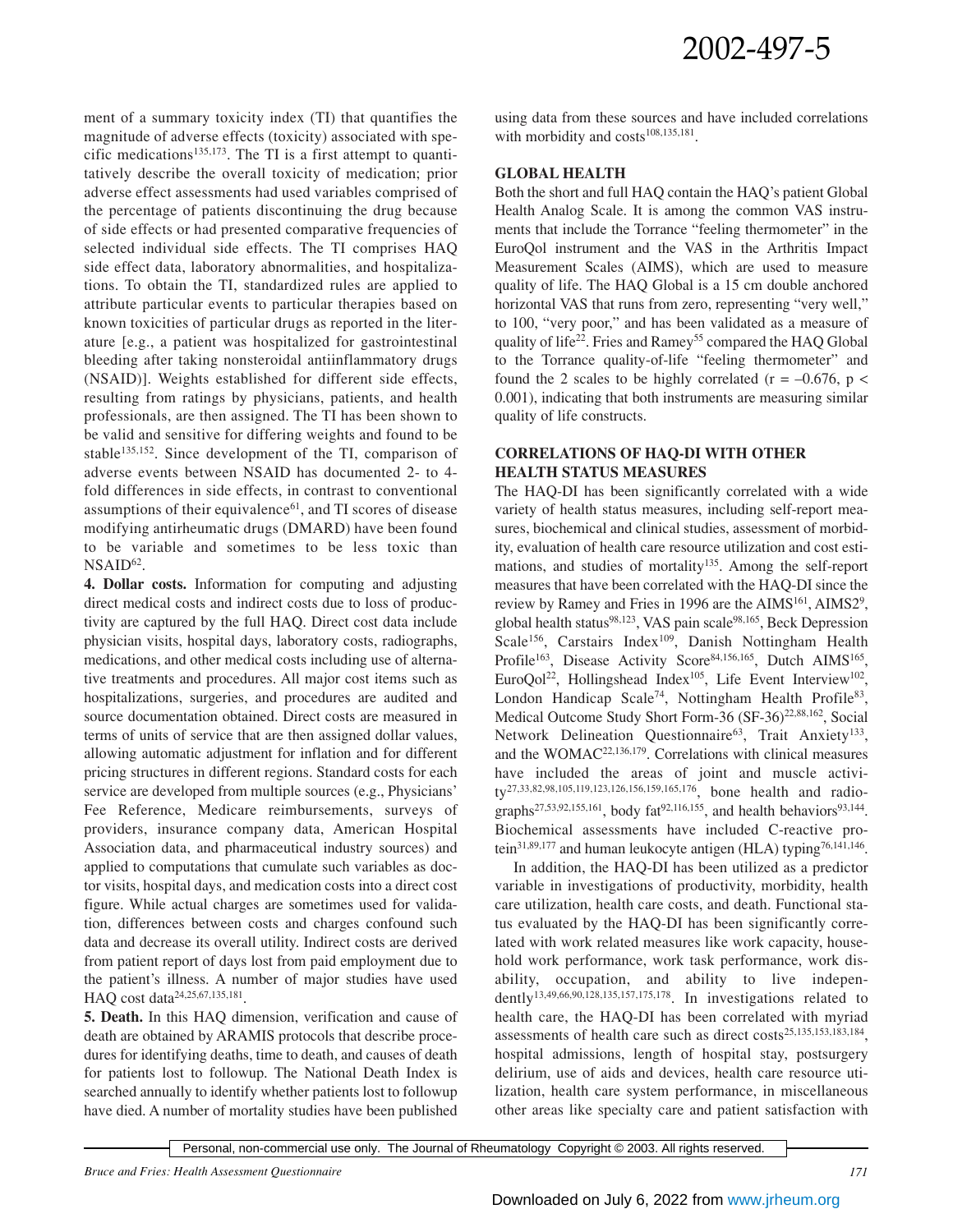ment of a summary toxicity index (TI) that quantifies the magnitude of adverse effects (toxicity) associated with specific medications $135,173$ . The TI is a first attempt to quantitatively describe the overall toxicity of medication; prior adverse effect assessments had used variables comprised of the percentage of patients discontinuing the drug because of side effects or had presented comparative frequencies of selected individual side effects. The TI comprises HAQ side effect data, laboratory abnormalities, and hospitalizations. To obtain the TI, standardized rules are applied to attribute particular events to particular therapies based on known toxicities of particular drugs as reported in the literature [e.g., a patient was hospitalized for gastrointestinal bleeding after taking nonsteroidal antiinflammatory drugs (NSAID)]. Weights established for different side effects, resulting from ratings by physicians, patients, and health professionals, are then assigned. The TI has been shown to be valid and sensitive for differing weights and found to be stable<sup>135,152</sup>. Since development of the TI, comparison of adverse events between NSAID has documented 2- to 4 fold differences in side effects, in contrast to conventional assumptions of their equivalence $61$ , and TI scores of disease modifying antirheumatic drugs (DMARD) have been found to be variable and sometimes to be less toxic than NSAID<sup>62</sup>.

**4. Dollar costs.** Information for computing and adjusting direct medical costs and indirect costs due to loss of productivity are captured by the full HAQ. Direct cost data include physician visits, hospital days, laboratory costs, radiographs, medications, and other medical costs including use of alternative treatments and procedures. All major cost items such as hospitalizations, surgeries, and procedures are audited and source documentation obtained. Direct costs are measured in terms of units of service that are then assigned dollar values, allowing automatic adjustment for inflation and for different pricing structures in different regions. Standard costs for each service are developed from multiple sources (e.g., Physicians' Fee Reference, Medicare reimbursements, surveys of providers, insurance company data, American Hospital Association data, and pharmaceutical industry sources) and applied to computations that cumulate such variables as doctor visits, hospital days, and medication costs into a direct cost figure. While actual charges are sometimes used for validation, differences between costs and charges confound such data and decrease its overall utility. Indirect costs are derived from patient report of days lost from paid employment due to the patient's illness. A number of major studies have used HAQ cost data<sup>24,25,67,135,181</sup>.

**5. Death.** In this HAQ dimension, verification and cause of death are obtained by ARAMIS protocols that describe procedures for identifying deaths, time to death, and causes of death for patients lost to followup. The National Death Index is searched annually to identify whether patients lost to followup have died. A number of mortality studies have been published

using data from these sources and have included correlations with morbidity and costs<sup>108,135,181</sup>.

## **GLOBAL HEALTH**

Both the short and full HAQ contain the HAQ's patient Global Health Analog Scale. It is among the common VAS instruments that include the Torrance "feeling thermometer" in the EuroQol instrument and the VAS in the Arthritis Impact Measurement Scales (AIMS), which are used to measure quality of life. The HAQ Global is a 15 cm double anchored horizontal VAS that runs from zero, representing "very well," to 100, "very poor," and has been validated as a measure of quality of life<sup>22</sup>. Fries and Ramey<sup>55</sup> compared the HAQ Global to the Torrance quality-of-life "feeling thermometer" and found the 2 scales to be highly correlated ( $r = -0.676$ ,  $p <$ 0.001), indicating that both instruments are measuring similar quality of life constructs.

# **CORRELATIONS OF HAQ-DI WITH OTHER HEALTH STATUS MEASURES**

The HAQ-DI has been significantly correlated with a wide variety of health status measures, including self-report measures, biochemical and clinical studies, assessment of morbidity, evaluation of health care resource utilization and cost estimations, and studies of mortality<sup>135</sup>. Among the self-report measures that have been correlated with the HAQ-DI since the review by Ramey and Fries in 1996 are the AIMS<sup>161</sup>, AIMS2<sup>9</sup>, global health status<sup>98,123</sup>, VAS pain scale<sup>98,165</sup>, Beck Depression Scale<sup>156</sup>, Carstairs Index<sup>109</sup>, Danish Nottingham Health Profile<sup>163</sup>, Disease Activity Score<sup>84,156,165</sup>, Dutch AIMS<sup>165</sup>, EuroQol<sup>22</sup>, Hollingshead Index<sup>105</sup>, Life Event Interview<sup>102</sup>, London Handicap Scale<sup>74</sup>, Nottingham Health Profile<sup>83</sup>, Medical Outcome Study Short Form-36 (SF-36)<sup>22,88,162</sup>, Social Network Delineation Questionnaire<sup>63</sup>, Trait Anxiety<sup>133</sup>, and the WOMAC22,136,179. Correlations with clinical measures have included the areas of joint and muscle activity27,33,82,98,105,119,123,126,156,159,165,176, bone health and radiographs<sup>27,53,92,155,161</sup>, body fat<sup>92,116,155</sup>, and health behaviors<sup>93,144</sup>. Biochemical assessments have included C-reactive protein<sup>31,89,177</sup> and human leukocyte antigen (HLA) typing<sup>76,141,146</sup>.

In addition, the HAQ-DI has been utilized as a predictor variable in investigations of productivity, morbidity, health care utilization, health care costs, and death. Functional status evaluated by the HAQ-DI has been significantly correlated with work related measures like work capacity, household work performance, work task performance, work disability, occupation, and ability to live independently13,49,66,90,128,135,157,175,178. In investigations related to health care, the HAQ-DI has been correlated with myriad assessments of health care such as direct costs<sup>25,135,153,183,184</sup>, hospital admissions, length of hospital stay, postsurgery delirium, use of aids and devices, health care resource utilization, health care system performance, in miscellaneous other areas like specialty care and patient satisfaction with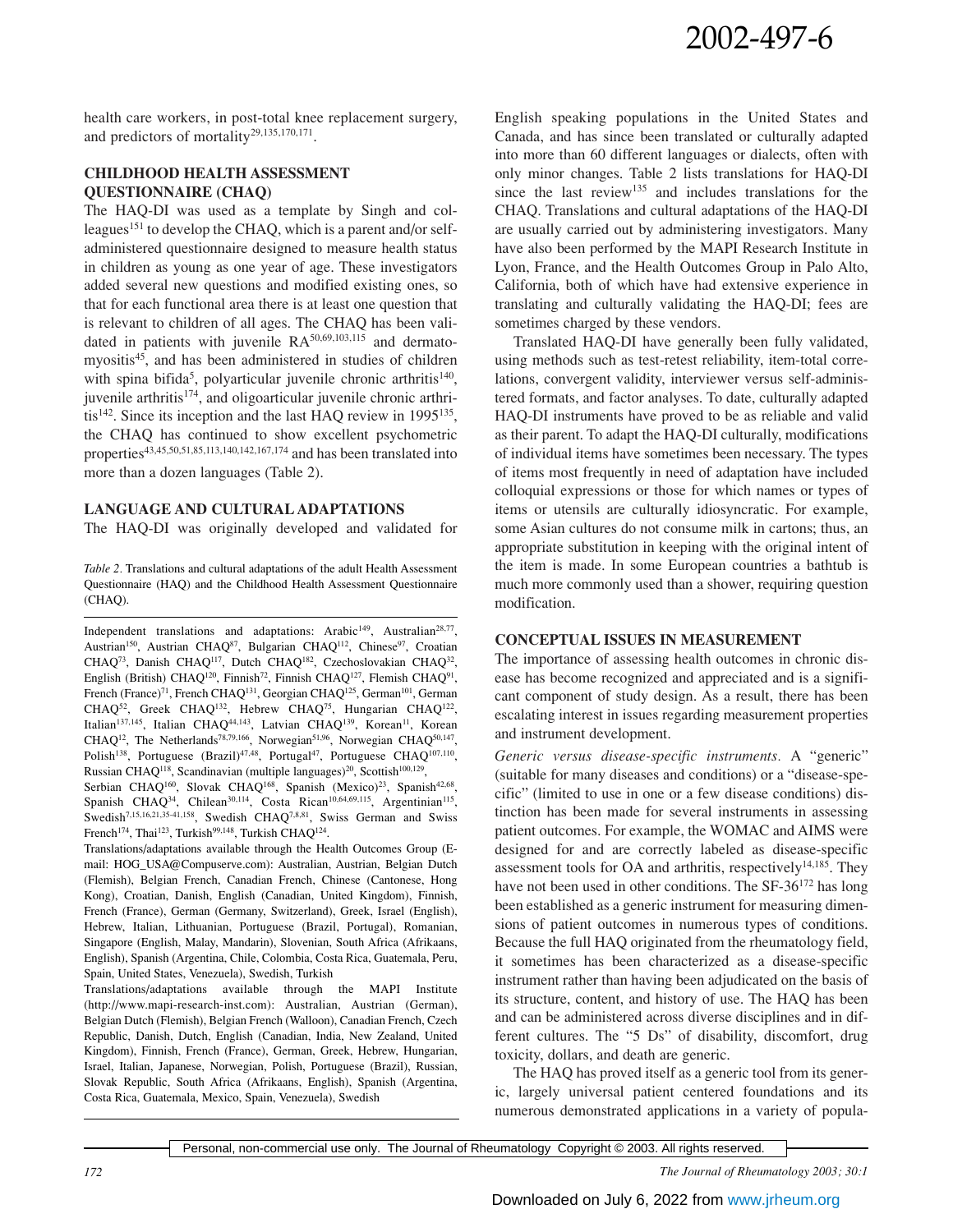*172 The Journal of Rheumatology 2003; 30:1*

health care workers, in post-total knee replacement surgery, and predictors of mortality<sup>29,135,170,171</sup>.

# **CHILDHOOD HEALTH ASSESSMENT QUESTIONNAIRE (CHAQ)**

The HAQ-DI was used as a template by Singh and colleagues<sup>151</sup> to develop the CHAQ, which is a parent and/or selfadministered questionnaire designed to measure health status in children as young as one year of age. These investigators added several new questions and modified existing ones, so that for each functional area there is at least one question that is relevant to children of all ages. The CHAQ has been validated in patients with juvenile RA<sup>50,69,103,115</sup> and dermatomyositis<sup>45</sup>, and has been administered in studies of children with spina bifida<sup>5</sup>, polyarticular juvenile chronic arthritis<sup>140</sup>, juvenile arthritis<sup>174</sup>, and oligoarticular juvenile chronic arthritis<sup>142</sup>. Since its inception and the last HAQ review in 1995<sup>135</sup>, the CHAQ has continued to show excellent psychometric properties<sup>43,45,50,51,85,113,140,142,167,174</sup> and has been translated into more than a dozen languages (Table 2).

#### **LANGUAGE AND CULTURAL ADAPTATIONS**

The HAQ-DI was originally developed and validated for

*Table 2.* Translations and cultural adaptations of the adult Health Assessment Questionnaire (HAQ) and the Childhood Health Assessment Questionnaire (CHAQ).

Independent translations and adaptations: Arabic<sup>149</sup>, Australian<sup>28,77</sup>, Austrian<sup>150</sup>, Austrian CHAQ<sup>87</sup>, Bulgarian CHAQ<sup>112</sup>, Chinese<sup>97</sup>, Croatian CHAQ<sup>73</sup>, Danish CHAQ<sup>117</sup>, Dutch CHAQ<sup>182</sup>, Czechoslovakian CHAQ<sup>32</sup>, English (British) CHAQ<sup>120</sup>, Finnish<sup>72</sup>, Finnish CHAQ<sup>127</sup>, Flemish CHAQ<sup>91</sup>, French (France)<sup>71</sup>, French CHAQ<sup>131</sup>, Georgian CHAQ<sup>125</sup>, German<sup>101</sup>, German CHAQ<sup>52</sup>, Greek CHAQ<sup>132</sup>, Hebrew CHAQ<sup>75</sup>, Hungarian CHAQ<sup>122</sup>, Italian<sup>137,145</sup>, Italian CHAQ<sup>44,143</sup>, Latvian CHAQ<sup>139</sup>, Korean<sup>11</sup>, Korean CHAQ<sup>12</sup>, The Netherlands<sup>78,79,166</sup>, Norwegian<sup>51,96</sup>, Norwegian CHAQ<sup>50,147</sup>, Polish<sup>138</sup>, Portuguese (Brazil)<sup>47,48</sup>, Portugal<sup>47</sup>, Portuguese CHAQ<sup>107,110</sup>, Russian CHAQ<sup>118</sup>, Scandinavian (multiple languages)<sup>20</sup>, Scottish<sup>100,129</sup>,

Serbian CHAQ<sup>160</sup>, Slovak CHAQ<sup>168</sup>, Spanish (Mexico)<sup>23</sup>, Spanish<sup>42,68</sup>, Spanish CHAQ<sup>34</sup>, Chilean<sup>30,114</sup>, Costa Rican<sup>10,64,69,115</sup>, Argentinian<sup>115</sup>, Swedish7,15,16,21,35-41,158, Swedish CHAQ7,8,81, Swiss German and Swiss French<sup>174</sup>, Thai<sup>123</sup>, Turkish<sup>99,148</sup>, Turkish CHAQ<sup>124</sup>.

Translations/adaptations available through the Health Outcomes Group (Email: HOG\_USA@Compuserve.com): Australian, Austrian, Belgian Dutch (Flemish), Belgian French, Canadian French, Chinese (Cantonese, Hong Kong), Croatian, Danish, English (Canadian, United Kingdom), Finnish, French (France), German (Germany, Switzerland), Greek, Israel (English), Hebrew, Italian, Lithuanian, Portuguese (Brazil, Portugal), Romanian, Singapore (English, Malay, Mandarin), Slovenian, South Africa (Afrikaans, English), Spanish (Argentina, Chile, Colombia, Costa Rica, Guatemala, Peru, Spain, United States, Venezuela), Swedish, Turkish

Translations/adaptations available through the MAPI Institute (http://www.mapi-research-inst.com): Australian, Austrian (German), Belgian Dutch (Flemish), Belgian French (Walloon), Canadian French, Czech Republic, Danish, Dutch, English (Canadian, India, New Zealand, United Kingdom), Finnish, French (France), German, Greek, Hebrew, Hungarian, Israel, Italian, Japanese, Norwegian, Polish, Portuguese (Brazil), Russian, Slovak Republic, South Africa (Afrikaans, English), Spanish (Argentina, Costa Rica, Guatemala, Mexico, Spain, Venezuela), Swedish

English speaking populations in the United States and Canada, and has since been translated or culturally adapted into more than 60 different languages or dialects, often with only minor changes. Table 2 lists translations for HAQ-DI since the last review $135$  and includes translations for the CHAQ. Translations and cultural adaptations of the HAQ-DI are usually carried out by administering investigators. Many have also been performed by the MAPI Research Institute in Lyon, France, and the Health Outcomes Group in Palo Alto, California, both of which have had extensive experience in translating and culturally validating the HAQ-DI; fees are sometimes charged by these vendors.

Translated HAQ-DI have generally been fully validated, using methods such as test-retest reliability, item-total correlations, convergent validity, interviewer versus self-administered formats, and factor analyses. To date, culturally adapted HAQ-DI instruments have proved to be as reliable and valid as their parent. To adapt the HAQ-DI culturally, modifications of individual items have sometimes been necessary. The types of items most frequently in need of adaptation have included colloquial expressions or those for which names or types of items or utensils are culturally idiosyncratic. For example, some Asian cultures do not consume milk in cartons; thus, an appropriate substitution in keeping with the original intent of the item is made. In some European countries a bathtub is much more commonly used than a shower, requiring question modification.

# **CONCEPTUAL ISSUES IN MEASUREMENT**

The importance of assessing health outcomes in chronic disease has become recognized and appreciated and is a significant component of study design. As a result, there has been escalating interest in issues regarding measurement properties and instrument development.

*Generic versus disease-specific instruments.* A "generic" (suitable for many diseases and conditions) or a "disease-specific" (limited to use in one or a few disease conditions) distinction has been made for several instruments in assessing patient outcomes. For example, the WOMAC and AIMS were designed for and are correctly labeled as disease-specific assessment tools for OA and arthritis, respectively<sup>14,185</sup>. They have not been used in other conditions. The SF-36<sup>172</sup> has long been established as a generic instrument for measuring dimensions of patient outcomes in numerous types of conditions. Because the full HAQ originated from the rheumatology field, it sometimes has been characterized as a disease-specific instrument rather than having been adjudicated on the basis of its structure, content, and history of use. The HAQ has been and can be administered across diverse disciplines and in different cultures. The "5 Ds" of disability, discomfort, drug toxicity, dollars, and death are generic.

The HAQ has proved itself as a generic tool from its generic, largely universal patient centered foundations and its numerous demonstrated applications in a variety of popula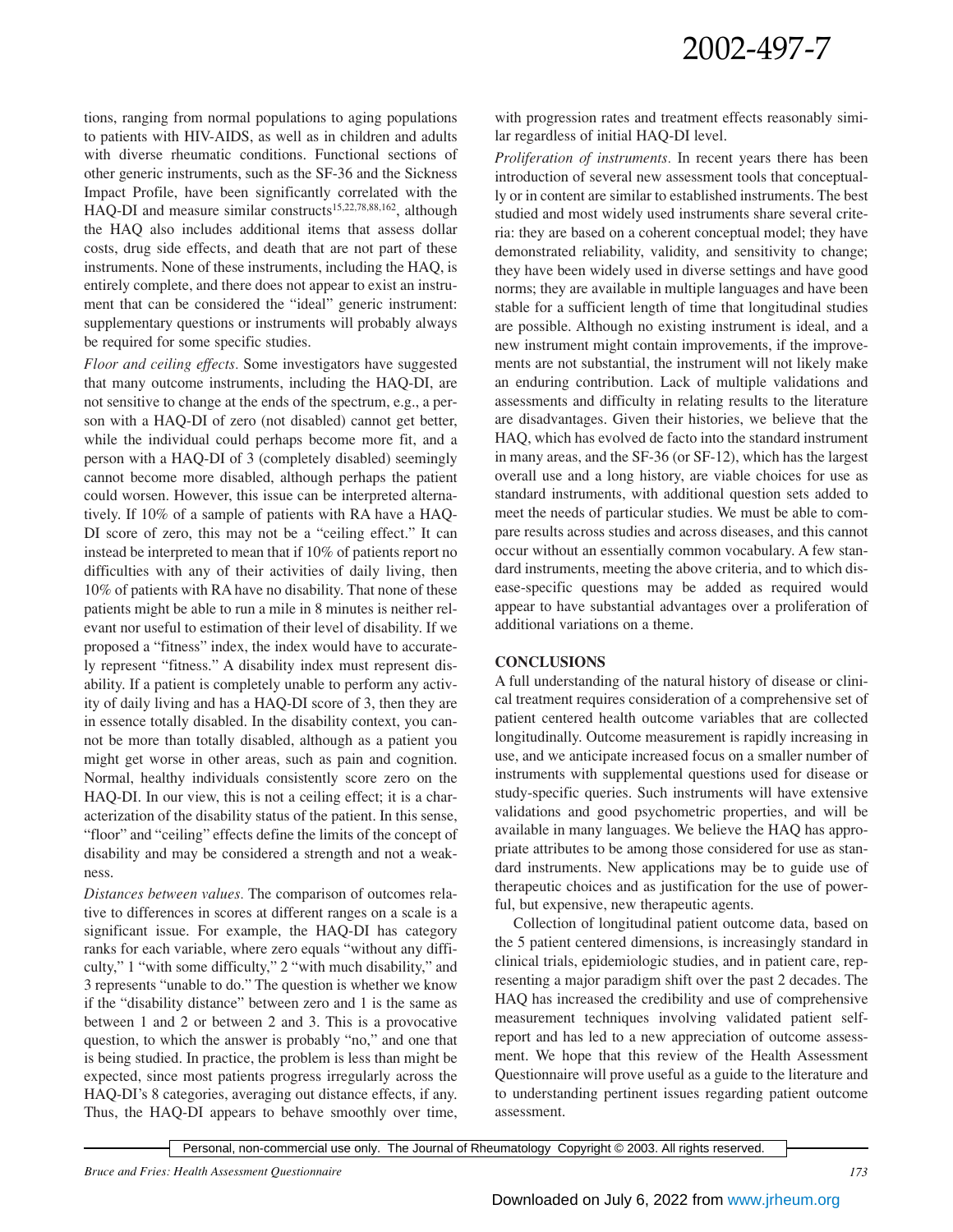tions, ranging from normal populations to aging populations to patients with HIV-AIDS, as well as in children and adults with diverse rheumatic conditions. Functional sections of other generic instruments, such as the SF-36 and the Sickness Impact Profile, have been significantly correlated with the HAQ-DI and measure similar constructs<sup>15,22,78,88,162</sup>, although the HAQ also includes additional items that assess dollar costs, drug side effects, and death that are not part of these instruments. None of these instruments, including the HAQ, is entirely complete, and there does not appear to exist an instrument that can be considered the "ideal" generic instrument: supplementary questions or instruments will probably always be required for some specific studies.

*Floor and ceiling effects.* Some investigators have suggested that many outcome instruments, including the HAQ-DI, are not sensitive to change at the ends of the spectrum, e.g., a person with a HAQ-DI of zero (not disabled) cannot get better, while the individual could perhaps become more fit, and a person with a HAQ-DI of 3 (completely disabled) seemingly cannot become more disabled, although perhaps the patient could worsen. However, this issue can be interpreted alternatively. If 10% of a sample of patients with RA have a HAQ-DI score of zero, this may not be a "ceiling effect." It can instead be interpreted to mean that if 10% of patients report no difficulties with any of their activities of daily living, then 10% of patients with RA have no disability. That none of these patients might be able to run a mile in 8 minutes is neither relevant nor useful to estimation of their level of disability. If we proposed a "fitness" index, the index would have to accurately represent "fitness." A disability index must represent disability. If a patient is completely unable to perform any activity of daily living and has a HAQ-DI score of 3, then they are in essence totally disabled. In the disability context, you cannot be more than totally disabled, although as a patient you might get worse in other areas, such as pain and cognition. Normal, healthy individuals consistently score zero on the HAQ-DI. In our view, this is not a ceiling effect; it is a characterization of the disability status of the patient. In this sense, "floor" and "ceiling" effects define the limits of the concept of disability and may be considered a strength and not a weakness.

*Distances between values.* The comparison of outcomes relative to differences in scores at different ranges on a scale is a significant issue. For example, the HAQ-DI has category ranks for each variable, where zero equals "without any difficulty," 1 "with some difficulty," 2 "with much disability," and 3 represents "unable to do." The question is whether we know if the "disability distance" between zero and 1 is the same as between 1 and 2 or between 2 and 3. This is a provocative question, to which the answer is probably "no," and one that is being studied. In practice, the problem is less than might be expected, since most patients progress irregularly across the HAQ-DI's 8 categories, averaging out distance effects, if any. Thus, the HAQ-DI appears to behave smoothly over time,

with progression rates and treatment effects reasonably similar regardless of initial HAQ-DI level.

*Proliferation of instruments.* In recent years there has been introduction of several new assessment tools that conceptually or in content are similar to established instruments. The best studied and most widely used instruments share several criteria: they are based on a coherent conceptual model; they have demonstrated reliability, validity, and sensitivity to change; they have been widely used in diverse settings and have good norms; they are available in multiple languages and have been stable for a sufficient length of time that longitudinal studies are possible. Although no existing instrument is ideal, and a new instrument might contain improvements, if the improvements are not substantial, the instrument will not likely make an enduring contribution. Lack of multiple validations and assessments and difficulty in relating results to the literature are disadvantages. Given their histories, we believe that the HAQ, which has evolved de facto into the standard instrument in many areas, and the SF-36 (or SF-12), which has the largest overall use and a long history, are viable choices for use as standard instruments, with additional question sets added to meet the needs of particular studies. We must be able to compare results across studies and across diseases, and this cannot occur without an essentially common vocabulary. A few standard instruments, meeting the above criteria, and to which disease-specific questions may be added as required would appear to have substantial advantages over a proliferation of additional variations on a theme.

#### **CONCLUSIONS**

A full understanding of the natural history of disease or clinical treatment requires consideration of a comprehensive set of patient centered health outcome variables that are collected longitudinally. Outcome measurement is rapidly increasing in use, and we anticipate increased focus on a smaller number of instruments with supplemental questions used for disease or study-specific queries. Such instruments will have extensive validations and good psychometric properties, and will be available in many languages. We believe the HAQ has appropriate attributes to be among those considered for use as standard instruments. New applications may be to guide use of therapeutic choices and as justification for the use of powerful, but expensive, new therapeutic agents.

Collection of longitudinal patient outcome data, based on the 5 patient centered dimensions, is increasingly standard in clinical trials, epidemiologic studies, and in patient care, representing a major paradigm shift over the past 2 decades. The HAQ has increased the credibility and use of comprehensive measurement techniques involving validated patient selfreport and has led to a new appreciation of outcome assessment. We hope that this review of the Health Assessment Questionnaire will prove useful as a guide to the literature and to understanding pertinent issues regarding patient outcome assessment.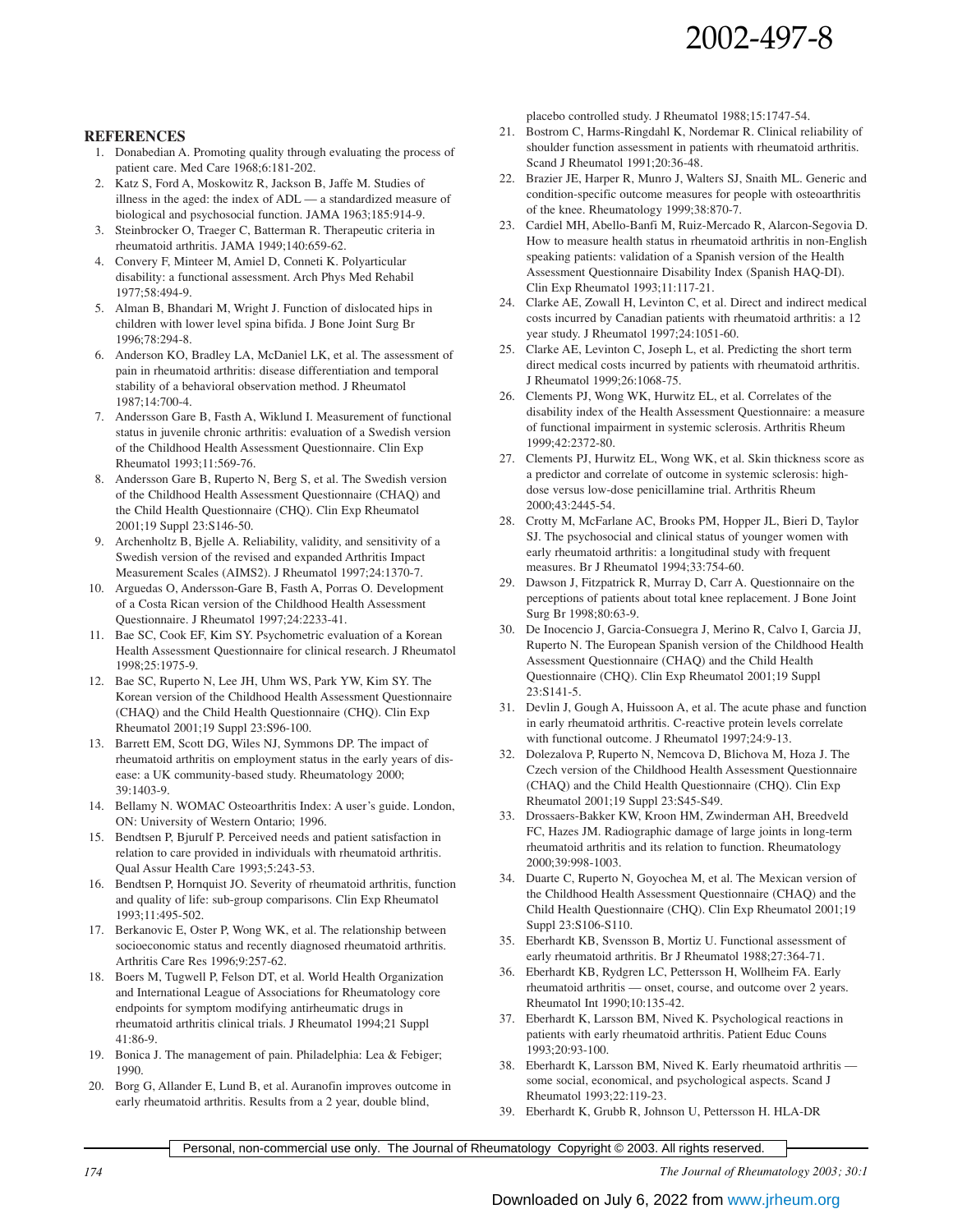

#### **REFERENCES**

- 1. Donabedian A. Promoting quality through evaluating the process of patient care. Med Care 1968;6:181-202.
- 2. Katz S, Ford A, Moskowitz R, Jackson B, Jaffe M. Studies of illness in the aged: the index of ADL — a standardized measure of biological and psychosocial function. JAMA 1963;185:914-9.
- 3. Steinbrocker O, Traeger C, Batterman R. Therapeutic criteria in rheumatoid arthritis. JAMA 1949;140:659-62.
- 4. Convery F, Minteer M, Amiel D, Conneti K. Polyarticular disability: a functional assessment. Arch Phys Med Rehabil 1977;58:494-9.
- 5. Alman B, Bhandari M, Wright J. Function of dislocated hips in children with lower level spina bifida. J Bone Joint Surg Br 1996;78:294-8.
- 6. Anderson KO, Bradley LA, McDaniel LK, et al. The assessment of pain in rheumatoid arthritis: disease differentiation and temporal stability of a behavioral observation method. J Rheumatol 1987;14:700-4.
- 7. Andersson Gare B, Fasth A, Wiklund I. Measurement of functional status in juvenile chronic arthritis: evaluation of a Swedish version of the Childhood Health Assessment Questionnaire. Clin Exp Rheumatol 1993;11:569-76.
- 8. Andersson Gare B, Ruperto N, Berg S, et al. The Swedish version of the Childhood Health Assessment Questionnaire (CHAQ) and the Child Health Questionnaire (CHQ). Clin Exp Rheumatol 2001;19 Suppl 23:S146-50.
- 9. Archenholtz B, Bjelle A. Reliability, validity, and sensitivity of a Swedish version of the revised and expanded Arthritis Impact Measurement Scales (AIMS2). J Rheumatol 1997;24:1370-7.
- 10. Arguedas O, Andersson-Gare B, Fasth A, Porras O. Development of a Costa Rican version of the Childhood Health Assessment Questionnaire. J Rheumatol 1997;24:2233-41.
- 11. Bae SC, Cook EF, Kim SY. Psychometric evaluation of a Korean Health Assessment Questionnaire for clinical research. J Rheumatol 1998;25:1975-9.
- 12. Bae SC, Ruperto N, Lee JH, Uhm WS, Park YW, Kim SY. The Korean version of the Childhood Health Assessment Questionnaire (CHAQ) and the Child Health Questionnaire (CHQ). Clin Exp Rheumatol 2001;19 Suppl 23:S96-100.
- 13. Barrett EM, Scott DG, Wiles NJ, Symmons DP. The impact of rheumatoid arthritis on employment status in the early years of disease: a UK community-based study. Rheumatology 2000; 39:1403-9.
- 14. Bellamy N. WOMAC Osteoarthritis Index: A user's guide. London, ON: University of Western Ontario; 1996.
- 15. Bendtsen P, Bjurulf P. Perceived needs and patient satisfaction in relation to care provided in individuals with rheumatoid arthritis. Qual Assur Health Care 1993;5:243-53.
- 16. Bendtsen P, Hornquist JO. Severity of rheumatoid arthritis, function and quality of life: sub-group comparisons. Clin Exp Rheumatol 1993;11:495-502.
- 17. Berkanovic E, Oster P, Wong WK, et al. The relationship between socioeconomic status and recently diagnosed rheumatoid arthritis. Arthritis Care Res 1996;9:257-62.
- 18. Boers M, Tugwell P, Felson DT, et al. World Health Organization and International League of Associations for Rheumatology core endpoints for symptom modifying antirheumatic drugs in rheumatoid arthritis clinical trials. J Rheumatol 1994;21 Suppl 41:86-9.
- 19. Bonica J. The management of pain. Philadelphia: Lea & Febiger; 1990.
- 20. Borg G, Allander E, Lund B, et al. Auranofin improves outcome in early rheumatoid arthritis. Results from a 2 year, double blind,

placebo controlled study. J Rheumatol 1988;15:1747-54.

- 21. Bostrom C, Harms-Ringdahl K, Nordemar R. Clinical reliability of shoulder function assessment in patients with rheumatoid arthritis. Scand J Rheumatol 1991;20:36-48.
- 22. Brazier JE, Harper R, Munro J, Walters SJ, Snaith ML. Generic and condition-specific outcome measures for people with osteoarthritis of the knee. Rheumatology 1999;38:870-7.
- 23. Cardiel MH, Abello-Banfi M, Ruiz-Mercado R, Alarcon-Segovia D. How to measure health status in rheumatoid arthritis in non-English speaking patients: validation of a Spanish version of the Health Assessment Questionnaire Disability Index (Spanish HAQ-DI). Clin Exp Rheumatol 1993;11:117-21.
- 24. Clarke AE, Zowall H, Levinton C, et al. Direct and indirect medical costs incurred by Canadian patients with rheumatoid arthritis: a 12 year study. J Rheumatol 1997;24:1051-60.
- 25. Clarke AE, Levinton C, Joseph L, et al. Predicting the short term direct medical costs incurred by patients with rheumatoid arthritis. J Rheumatol 1999;26:1068-75.
- 26. Clements PJ, Wong WK, Hurwitz EL, et al. Correlates of the disability index of the Health Assessment Questionnaire: a measure of functional impairment in systemic sclerosis. Arthritis Rheum 1999;42:2372-80.
- 27. Clements PJ, Hurwitz EL, Wong WK, et al. Skin thickness score as a predictor and correlate of outcome in systemic sclerosis: highdose versus low-dose penicillamine trial. Arthritis Rheum 2000;43:2445-54.
- 28. Crotty M, McFarlane AC, Brooks PM, Hopper JL, Bieri D, Taylor SJ. The psychosocial and clinical status of younger women with early rheumatoid arthritis: a longitudinal study with frequent measures. Br J Rheumatol 1994;33:754-60.
- Dawson J, Fitzpatrick R, Murray D, Carr A. Questionnaire on the perceptions of patients about total knee replacement. J Bone Joint Surg Br 1998;80:63-9.
- 30. De Inocencio J, Garcia-Consuegra J, Merino R, Calvo I, Garcia JJ, Ruperto N. The European Spanish version of the Childhood Health Assessment Questionnaire (CHAQ) and the Child Health Questionnaire (CHQ). Clin Exp Rheumatol 2001;19 Suppl 23:S141-5.
- 31. Devlin J, Gough A, Huissoon A, et al. The acute phase and function in early rheumatoid arthritis. C-reactive protein levels correlate with functional outcome. J Rheumatol 1997;24:9-13.
- 32. Dolezalova P, Ruperto N, Nemcova D, Blichova M, Hoza J. The Czech version of the Childhood Health Assessment Questionnaire (CHAQ) and the Child Health Questionnaire (CHQ). Clin Exp Rheumatol 2001;19 Suppl 23:S45-S49.
- 33. Drossaers-Bakker KW, Kroon HM, Zwinderman AH, Breedveld FC, Hazes JM. Radiographic damage of large joints in long-term rheumatoid arthritis and its relation to function. Rheumatology 2000;39:998-1003.
- 34. Duarte C, Ruperto N, Goyochea M, et al. The Mexican version of the Childhood Health Assessment Questionnaire (CHAQ) and the Child Health Questionnaire (CHQ). Clin Exp Rheumatol 2001;19 Suppl 23:S106-S110.
- 35. Eberhardt KB, Svensson B, Mortiz U. Functional assessment of early rheumatoid arthritis. Br J Rheumatol 1988;27:364-71.
- 36. Eberhardt KB, Rydgren LC, Pettersson H, Wollheim FA. Early rheumatoid arthritis — onset, course, and outcome over 2 years. Rheumatol Int 1990;10:135-42.
- 37. Eberhardt K, Larsson BM, Nived K. Psychological reactions in patients with early rheumatoid arthritis. Patient Educ Couns 1993;20:93-100.
- 38. Eberhardt K, Larsson BM, Nived K. Early rheumatoid arthritis some social, economical, and psychological aspects. Scand J Rheumatol 1993;22:119-23.
- 39. Eberhardt K, Grubb R, Johnson U, Pettersson H. HLA-DR

Personal, non-commercial use only. The Journal of Rheumatology Copyright © 2003. All rights reserved.

*174 The Journal of Rheumatology 2003; 30:1*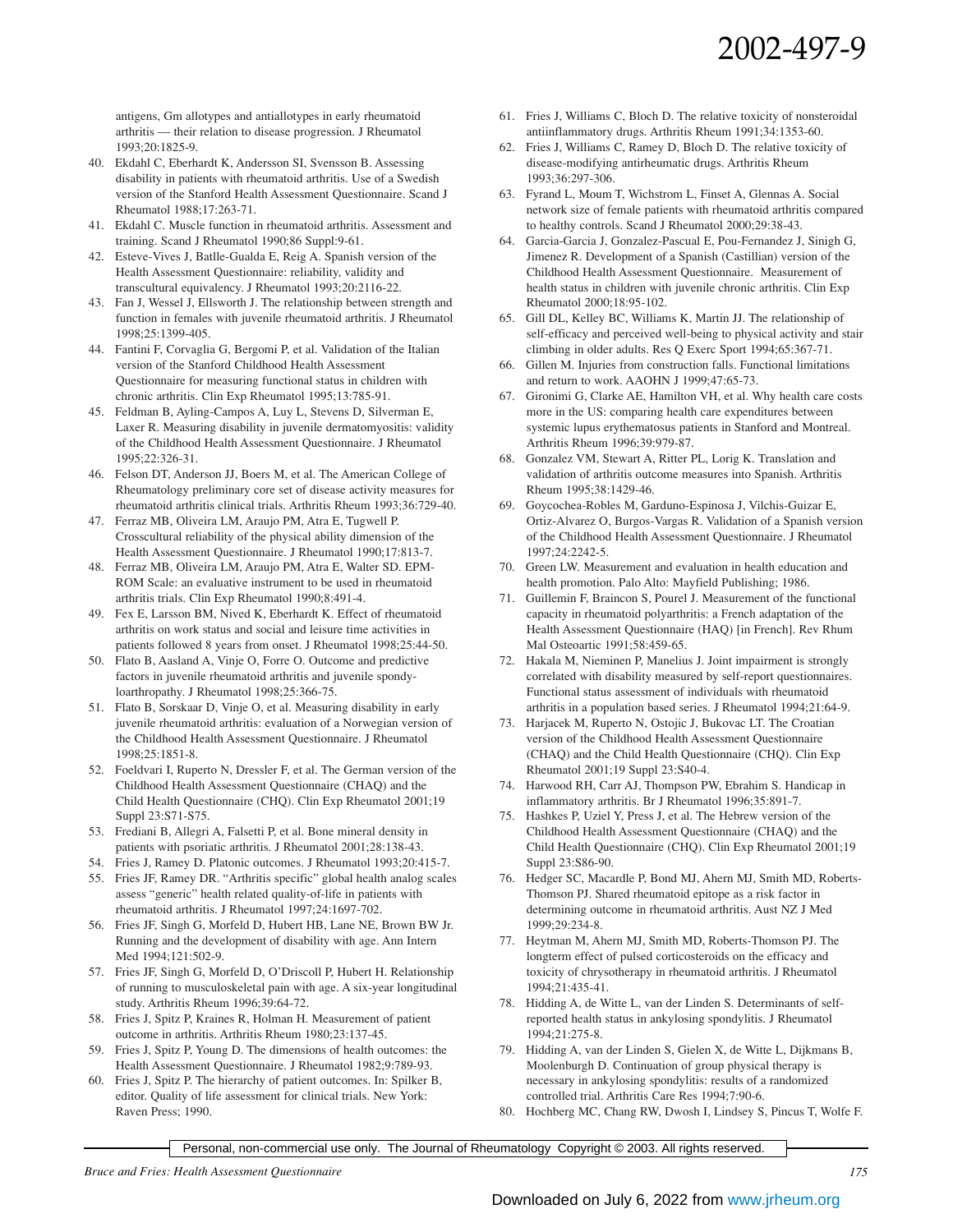antigens, Gm allotypes and antiallotypes in early rheumatoid arthritis — their relation to disease progression. J Rheumatol 1993;20:1825-9.

- 40. Ekdahl C, Eberhardt K, Andersson SI, Svensson B. Assessing disability in patients with rheumatoid arthritis. Use of a Swedish version of the Stanford Health Assessment Questionnaire. Scand J Rheumatol 1988;17:263-71.
- 41. Ekdahl C. Muscle function in rheumatoid arthritis. Assessment and training. Scand J Rheumatol 1990;86 Suppl:9-61.
- 42. Esteve-Vives J, Batlle-Gualda E, Reig A. Spanish version of the Health Assessment Questionnaire: reliability, validity and transcultural equivalency. J Rheumatol 1993;20:2116-22.
- 43. Fan J, Wessel J, Ellsworth J. The relationship between strength and function in females with juvenile rheumatoid arthritis. J Rheumatol 1998;25:1399-405.
- 44. Fantini F, Corvaglia G, Bergomi P, et al. Validation of the Italian version of the Stanford Childhood Health Assessment Questionnaire for measuring functional status in children with chronic arthritis. Clin Exp Rheumatol 1995;13:785-91.
- 45. Feldman B, Ayling-Campos A, Luy L, Stevens D, Silverman E, Laxer R. Measuring disability in juvenile dermatomyositis: validity of the Childhood Health Assessment Questionnaire. J Rheumatol 1995;22:326-31.
- 46. Felson DT, Anderson JJ, Boers M, et al. The American College of Rheumatology preliminary core set of disease activity measures for rheumatoid arthritis clinical trials. Arthritis Rheum 1993;36:729-40.
- 47. Ferraz MB, Oliveira LM, Araujo PM, Atra E, Tugwell P. Crosscultural reliability of the physical ability dimension of the Health Assessment Questionnaire. J Rheumatol 1990;17:813-7.
- 48. Ferraz MB, Oliveira LM, Araujo PM, Atra E, Walter SD. EPM-ROM Scale: an evaluative instrument to be used in rheumatoid arthritis trials. Clin Exp Rheumatol 1990;8:491-4.
- 49. Fex E, Larsson BM, Nived K, Eberhardt K. Effect of rheumatoid arthritis on work status and social and leisure time activities in patients followed 8 years from onset. J Rheumatol 1998;25:44-50.
- 50. Flato B, Aasland A, Vinje O, Forre O. Outcome and predictive factors in juvenile rheumatoid arthritis and juvenile spondyloarthropathy. J Rheumatol 1998;25:366-75.
- 51. Flato B, Sorskaar D, Vinje O, et al. Measuring disability in early juvenile rheumatoid arthritis: evaluation of a Norwegian version of the Childhood Health Assessment Questionnaire. J Rheumatol 1998;25:1851-8.
- 52. Foeldvari I, Ruperto N, Dressler F, et al. The German version of the Childhood Health Assessment Questionnaire (CHAQ) and the Child Health Questionnaire (CHQ). Clin Exp Rheumatol 2001;19 Suppl 23:S71-S75.
- 53. Frediani B, Allegri A, Falsetti P, et al. Bone mineral density in patients with psoriatic arthritis. J Rheumatol 2001;28:138-43.
- 54. Fries J, Ramey D. Platonic outcomes. J Rheumatol 1993;20:415-7.
- 55. Fries JF, Ramey DR. "Arthritis specific" global health analog scales assess "generic" health related quality-of-life in patients with rheumatoid arthritis. J Rheumatol 1997;24:1697-702.
- 56. Fries JF, Singh G, Morfeld D, Hubert HB, Lane NE, Brown BW Jr. Running and the development of disability with age. Ann Intern Med 1994;121:502-9.
- 57. Fries JF, Singh G, Morfeld D, O'Driscoll P, Hubert H. Relationship of running to musculoskeletal pain with age. A six-year longitudinal study. Arthritis Rheum 1996;39:64-72.
- 58. Fries J, Spitz P, Kraines R, Holman H. Measurement of patient outcome in arthritis. Arthritis Rheum 1980;23:137-45.
- 59. Fries J, Spitz P, Young D. The dimensions of health outcomes: the Health Assessment Questionnaire. J Rheumatol 1982;9:789-93.
- 60. Fries J, Spitz P. The hierarchy of patient outcomes. In: Spilker B, editor. Quality of life assessment for clinical trials. New York: Raven Press; 1990.
- 61. Fries J, Williams C, Bloch D. The relative toxicity of nonsteroidal antiinflammatory drugs. Arthritis Rheum 1991;34:1353-60.
- 62. Fries J, Williams C, Ramey D, Bloch D. The relative toxicity of disease-modifying antirheumatic drugs. Arthritis Rheum 1993;36:297-306.
- 63. Fyrand L, Moum T, Wichstrom L, Finset A, Glennas A. Social network size of female patients with rheumatoid arthritis compared to healthy controls. Scand J Rheumatol 2000;29:38-43.
- 64. Garcia-Garcia J, Gonzalez-Pascual E, Pou-Fernandez J, Sinigh G, Jimenez R. Development of a Spanish (Castillian) version of the Childhood Health Assessment Questionnaire. Measurement of health status in children with juvenile chronic arthritis. Clin Exp Rheumatol 2000;18:95-102.
- 65. Gill DL, Kelley BC, Williams K, Martin JJ. The relationship of self-efficacy and perceived well-being to physical activity and stair climbing in older adults. Res Q Exerc Sport 1994;65:367-71.
- 66. Gillen M. Injuries from construction falls. Functional limitations and return to work. AAOHN J 1999;47:65-73.
- 67. Gironimi G, Clarke AE, Hamilton VH, et al. Why health care costs more in the US: comparing health care expenditures between systemic lupus erythematosus patients in Stanford and Montreal. Arthritis Rheum 1996;39:979-87.
- 68. Gonzalez VM, Stewart A, Ritter PL, Lorig K. Translation and validation of arthritis outcome measures into Spanish. Arthritis Rheum 1995;38:1429-46.
- 69. Goycochea-Robles M, Garduno-Espinosa J, Vilchis-Guizar E, Ortiz-Alvarez O, Burgos-Vargas R. Validation of a Spanish version of the Childhood Health Assessment Questionnaire. J Rheumatol 1997;24:2242-5.
- 70. Green LW. Measurement and evaluation in health education and health promotion. Palo Alto: Mayfield Publishing; 1986.
- 71. Guillemin F, Braincon S, Pourel J. Measurement of the functional capacity in rheumatoid polyarthritis: a French adaptation of the Health Assessment Questionnaire (HAQ) [in French]. Rev Rhum Mal Osteoartic 1991;58:459-65.
- 72. Hakala M, Nieminen P, Manelius J. Joint impairment is strongly correlated with disability measured by self-report questionnaires. Functional status assessment of individuals with rheumatoid arthritis in a population based series. J Rheumatol 1994;21:64-9.
- 73. Harjacek M, Ruperto N, Ostojic J, Bukovac LT. The Croatian version of the Childhood Health Assessment Questionnaire (CHAQ) and the Child Health Questionnaire (CHQ). Clin Exp Rheumatol 2001;19 Suppl 23:S40-4.
- 74. Harwood RH, Carr AJ, Thompson PW, Ebrahim S. Handicap in inflammatory arthritis. Br J Rheumatol 1996;35:891-7.
- 75. Hashkes P, Uziel Y, Press J, et al. The Hebrew version of the Childhood Health Assessment Questionnaire (CHAQ) and the Child Health Questionnaire (CHQ). Clin Exp Rheumatol 2001;19 Suppl 23:S86-90.
- Hedger SC, Macardle P, Bond MJ, Ahern MJ, Smith MD, Roberts-Thomson PJ. Shared rheumatoid epitope as a risk factor in determining outcome in rheumatoid arthritis. Aust NZ J Med 1999;29:234-8.
- 77. Heytman M, Ahern MJ, Smith MD, Roberts-Thomson PJ. The longterm effect of pulsed corticosteroids on the efficacy and toxicity of chrysotherapy in rheumatoid arthritis. J Rheumatol 1994;21:435-41.
- 78. Hidding A, de Witte L, van der Linden S. Determinants of selfreported health status in ankylosing spondylitis. J Rheumatol 1994;21:275-8.
- 79. Hidding A, van der Linden S, Gielen X, de Witte L, Dijkmans B, Moolenburgh D. Continuation of group physical therapy is necessary in ankylosing spondylitis: results of a randomized controlled trial. Arthritis Care Res 1994;7:90-6.
- 80. Hochberg MC, Chang RW, Dwosh I, Lindsey S, Pincus T, Wolfe F.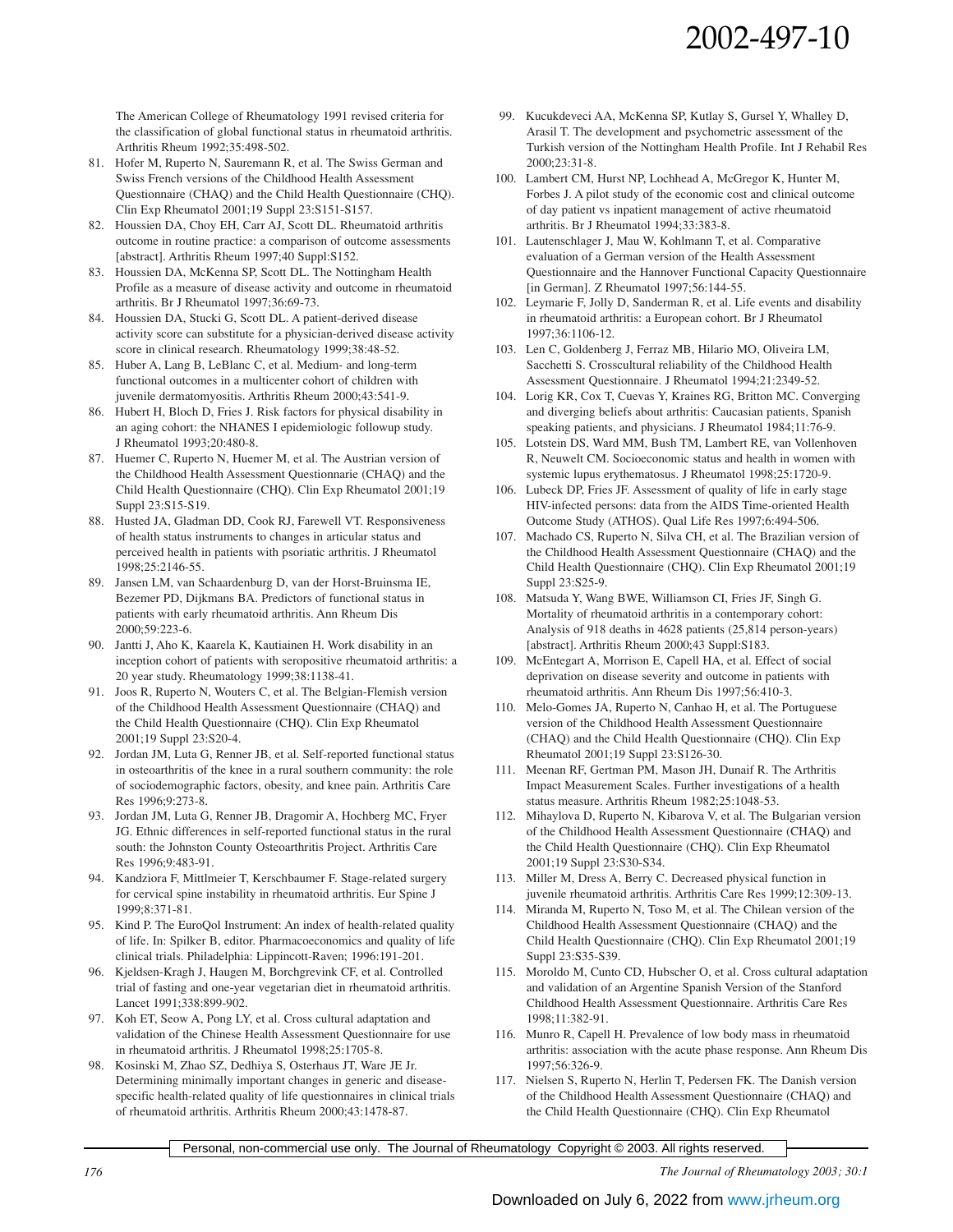2002-497-10

The American College of Rheumatology 1991 revised criteria for the classification of global functional status in rheumatoid arthritis. Arthritis Rheum 1992;35:498-502.

- 81. Hofer M, Ruperto N, Sauremann R, et al. The Swiss German and Swiss French versions of the Childhood Health Assessment Questionnaire (CHAQ) and the Child Health Questionnaire (CHQ). Clin Exp Rheumatol 2001;19 Suppl 23:S151-S157.
- 82. Houssien DA, Choy EH, Carr AJ, Scott DL. Rheumatoid arthritis outcome in routine practice: a comparison of outcome assessments [abstract]. Arthritis Rheum 1997;40 Suppl:S152.
- 83. Houssien DA, McKenna SP, Scott DL. The Nottingham Health Profile as a measure of disease activity and outcome in rheumatoid arthritis. Br J Rheumatol 1997;36:69-73.
- 84. Houssien DA, Stucki G, Scott DL. A patient-derived disease activity score can substitute for a physician-derived disease activity score in clinical research. Rheumatology 1999;38:48-52.
- 85. Huber A, Lang B, LeBlanc C, et al. Medium- and long-term functional outcomes in a multicenter cohort of children with juvenile dermatomyositis. Arthritis Rheum 2000;43:541-9.
- 86. Hubert H, Bloch D, Fries J. Risk factors for physical disability in an aging cohort: the NHANES I epidemiologic followup study. J Rheumatol 1993;20:480-8.
- 87. Huemer C, Ruperto N, Huemer M, et al. The Austrian version of the Childhood Health Assessment Questionnarie (CHAQ) and the Child Health Questionnaire (CHQ). Clin Exp Rheumatol 2001;19 Suppl 23:S15-S19.
- 88. Husted JA, Gladman DD, Cook RJ, Farewell VT. Responsiveness of health status instruments to changes in articular status and perceived health in patients with psoriatic arthritis. J Rheumatol 1998;25:2146-55.
- 89. Jansen LM, van Schaardenburg D, van der Horst-Bruinsma IE, Bezemer PD, Dijkmans BA. Predictors of functional status in patients with early rheumatoid arthritis. Ann Rheum Dis  $2000.59.223 - 6$
- 90. Jantti J, Aho K, Kaarela K, Kautiainen H. Work disability in an inception cohort of patients with seropositive rheumatoid arthritis: a 20 year study. Rheumatology 1999;38:1138-41.
- 91. Joos R, Ruperto N, Wouters C, et al. The Belgian-Flemish version of the Childhood Health Assessment Questionnaire (CHAQ) and the Child Health Questionnaire (CHQ). Clin Exp Rheumatol 2001;19 Suppl 23:S20-4.
- 92. Jordan JM, Luta G, Renner JB, et al. Self-reported functional status in osteoarthritis of the knee in a rural southern community: the role of sociodemographic factors, obesity, and knee pain. Arthritis Care Res 1996;9:273-8.
- 93. Jordan JM, Luta G, Renner JB, Dragomir A, Hochberg MC, Fryer JG. Ethnic differences in self-reported functional status in the rural south: the Johnston County Osteoarthritis Project. Arthritis Care Res 1996;9:483-91.
- 94. Kandziora F, Mittlmeier T, Kerschbaumer F. Stage-related surgery for cervical spine instability in rheumatoid arthritis. Eur Spine J 1999;8:371-81.
- 95. Kind P. The EuroQol Instrument: An index of health-related quality of life. In: Spilker B, editor. Pharmacoeconomics and quality of life clinical trials. Philadelphia: Lippincott-Raven; 1996:191-201.
- 96. Kjeldsen-Kragh J, Haugen M, Borchgrevink CF, et al. Controlled trial of fasting and one-year vegetarian diet in rheumatoid arthritis. Lancet 1991;338:899-902.
- 97. Koh ET, Seow A, Pong LY, et al. Cross cultural adaptation and validation of the Chinese Health Assessment Questionnaire for use in rheumatoid arthritis. J Rheumatol 1998;25:1705-8.
- 98. Kosinski M, Zhao SZ, Dedhiya S, Osterhaus JT, Ware JE Jr. Determining minimally important changes in generic and diseasespecific health-related quality of life questionnaires in clinical trials of rheumatoid arthritis. Arthritis Rheum 2000;43:1478-87.
- 99. Kucukdeveci AA, McKenna SP, Kutlay S, Gursel Y, Whalley D, Arasil T. The development and psychometric assessment of the Turkish version of the Nottingham Health Profile. Int J Rehabil Res 2000;23:31-8.
- 100. Lambert CM, Hurst NP, Lochhead A, McGregor K, Hunter M, Forbes J. A pilot study of the economic cost and clinical outcome of day patient vs inpatient management of active rheumatoid arthritis. Br J Rheumatol 1994;33:383-8.
- 101. Lautenschlager J, Mau W, Kohlmann T, et al. Comparative evaluation of a German version of the Health Assessment Questionnaire and the Hannover Functional Capacity Questionnaire [in German]. Z Rheumatol 1997;56:144-55.
- 102. Leymarie F, Jolly D, Sanderman R, et al. Life events and disability in rheumatoid arthritis: a European cohort. Br J Rheumatol 1997;36:1106-12.
- 103. Len C, Goldenberg J, Ferraz MB, Hilario MO, Oliveira LM, Sacchetti S. Crosscultural reliability of the Childhood Health Assessment Questionnaire. J Rheumatol 1994;21:2349-52.
- 104. Lorig KR, Cox T, Cuevas Y, Kraines RG, Britton MC. Converging and diverging beliefs about arthritis: Caucasian patients, Spanish speaking patients, and physicians. J Rheumatol 1984;11:76-9.
- 105. Lotstein DS, Ward MM, Bush TM, Lambert RE, van Vollenhoven R, Neuwelt CM. Socioeconomic status and health in women with systemic lupus erythematosus. J Rheumatol 1998;25:1720-9.
- 106. Lubeck DP, Fries JF. Assessment of quality of life in early stage HIV-infected persons: data from the AIDS Time-oriented Health Outcome Study (ATHOS). Qual Life Res 1997;6:494-506.
- 107. Machado CS, Ruperto N, Silva CH, et al. The Brazilian version of the Childhood Health Assessment Questionnaire (CHAQ) and the Child Health Questionnaire (CHQ). Clin Exp Rheumatol 2001;19 Suppl 23:S25-9.
- 108. Matsuda Y, Wang BWE, Williamson CI, Fries JF, Singh G. Mortality of rheumatoid arthritis in a contemporary cohort: Analysis of 918 deaths in 4628 patients (25,814 person-years) [abstract]. Arthritis Rheum 2000;43 Suppl:S183.
- 109. McEntegart A, Morrison E, Capell HA, et al. Effect of social deprivation on disease severity and outcome in patients with rheumatoid arthritis. Ann Rheum Dis 1997;56:410-3.
- 110. Melo-Gomes JA, Ruperto N, Canhao H, et al. The Portuguese version of the Childhood Health Assessment Questionnaire (CHAQ) and the Child Health Questionnaire (CHQ). Clin Exp Rheumatol 2001;19 Suppl 23:S126-30.
- 111. Meenan RF, Gertman PM, Mason JH, Dunaif R. The Arthritis Impact Measurement Scales. Further investigations of a health status measure. Arthritis Rheum 1982;25:1048-53.
- 112. Mihaylova D, Ruperto N, Kibarova V, et al. The Bulgarian version of the Childhood Health Assessment Questionnaire (CHAQ) and the Child Health Questionnaire (CHQ). Clin Exp Rheumatol 2001;19 Suppl 23:S30-S34.
- 113. Miller M, Dress A, Berry C. Decreased physical function in juvenile rheumatoid arthritis. Arthritis Care Res 1999;12:309-13.
- 114. Miranda M, Ruperto N, Toso M, et al. The Chilean version of the Childhood Health Assessment Questionnaire (CHAQ) and the Child Health Questionnaire (CHQ). Clin Exp Rheumatol 2001;19 Suppl 23:S35-S39.
- 115. Moroldo M, Cunto CD, Hubscher O, et al. Cross cultural adaptation and validation of an Argentine Spanish Version of the Stanford Childhood Health Assessment Questionnaire. Arthritis Care Res 1998;11:382-91.
- 116. Munro R, Capell H. Prevalence of low body mass in rheumatoid arthritis: association with the acute phase response. Ann Rheum Dis 1997;56:326-9.
- 117. Nielsen S, Ruperto N, Herlin T, Pedersen FK. The Danish version of the Childhood Health Assessment Questionnaire (CHAQ) and the Child Health Questionnaire (CHQ). Clin Exp Rheumatol

Personal, non-commercial use only. The Journal of Rheumatology Copyright © 2003. All rights reserved.

*176 The Journal of Rheumatology 2003; 30:1*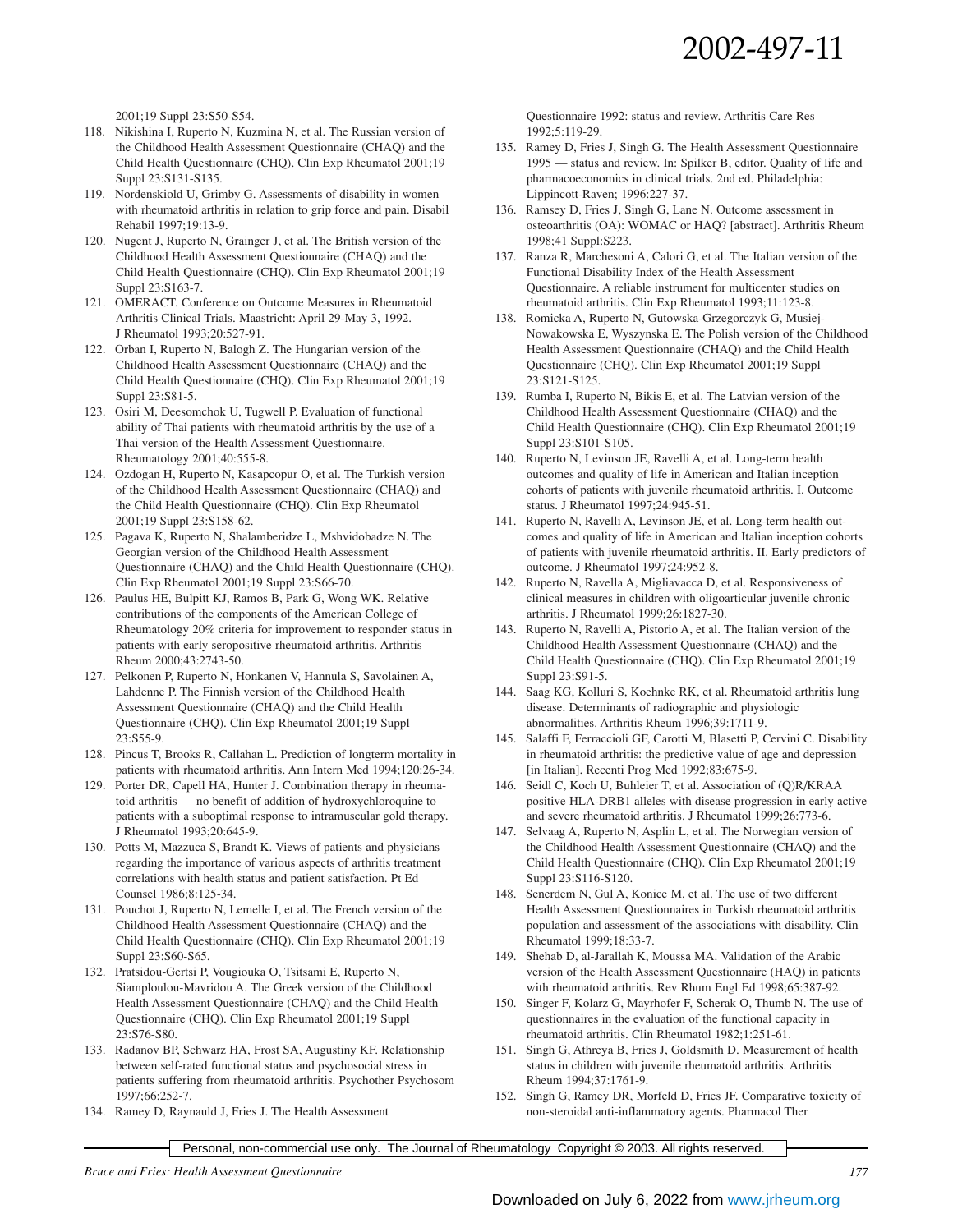2001;19 Suppl 23:S50-S54.

- 118. Nikishina I, Ruperto N, Kuzmina N, et al. The Russian version of the Childhood Health Assessment Questionnaire (CHAQ) and the Child Health Questionnaire (CHQ). Clin Exp Rheumatol 2001;19 Suppl 23:S131-S135.
- 119. Nordenskiold U, Grimby G. Assessments of disability in women with rheumatoid arthritis in relation to grip force and pain. Disabil Rehabil 1997;19:13-9.
- 120. Nugent J, Ruperto N, Grainger J, et al. The British version of the Childhood Health Assessment Questionnaire (CHAQ) and the Child Health Questionnaire (CHQ). Clin Exp Rheumatol 2001;19 Suppl 23:S163-7.
- 121. OMERACT. Conference on Outcome Measures in Rheumatoid Arthritis Clinical Trials. Maastricht: April 29-May 3, 1992. J Rheumatol 1993;20:527-91.
- 122. Orban I, Ruperto N, Balogh Z. The Hungarian version of the Childhood Health Assessment Questionnaire (CHAQ) and the Child Health Questionnaire (CHQ). Clin Exp Rheumatol 2001;19 Suppl 23:S81-5.
- 123. Osiri M, Deesomchok U, Tugwell P. Evaluation of functional ability of Thai patients with rheumatoid arthritis by the use of a Thai version of the Health Assessment Questionnaire. Rheumatology 2001;40:555-8.
- 124. Ozdogan H, Ruperto N, Kasapcopur O, et al. The Turkish version of the Childhood Health Assessment Questionnaire (CHAQ) and the Child Health Questionnaire (CHQ). Clin Exp Rheumatol 2001;19 Suppl 23:S158-62.
- 125. Pagava K, Ruperto N, Shalamberidze L, Mshvidobadze N. The Georgian version of the Childhood Health Assessment Questionnaire (CHAQ) and the Child Health Questionnaire (CHQ). Clin Exp Rheumatol 2001;19 Suppl 23:S66-70.
- 126. Paulus HE, Bulpitt KJ, Ramos B, Park G, Wong WK. Relative contributions of the components of the American College of Rheumatology 20% criteria for improvement to responder status in patients with early seropositive rheumatoid arthritis. Arthritis Rheum 2000;43:2743-50.
- 127. Pelkonen P, Ruperto N, Honkanen V, Hannula S, Savolainen A, Lahdenne P. The Finnish version of the Childhood Health Assessment Questionnaire (CHAQ) and the Child Health Questionnaire (CHQ). Clin Exp Rheumatol 2001;19 Suppl 23:S55-9.
- 128. Pincus T, Brooks R, Callahan L. Prediction of longterm mortality in patients with rheumatoid arthritis. Ann Intern Med 1994;120:26-34.
- 129. Porter DR, Capell HA, Hunter J. Combination therapy in rheumatoid arthritis — no benefit of addition of hydroxychloroquine to patients with a suboptimal response to intramuscular gold therapy. J Rheumatol 1993;20:645-9.
- 130. Potts M, Mazzuca S, Brandt K. Views of patients and physicians regarding the importance of various aspects of arthritis treatment correlations with health status and patient satisfaction. Pt Ed Counsel 1986;8:125-34.
- 131. Pouchot J, Ruperto N, Lemelle I, et al. The French version of the Childhood Health Assessment Questionnaire (CHAQ) and the Child Health Questionnaire (CHQ). Clin Exp Rheumatol 2001;19 Suppl 23:S60-S65.
- 132. Pratsidou-Gertsi P, Vougiouka O, Tsitsami E, Ruperto N, Siamploulou-Mavridou A. The Greek version of the Childhood Health Assessment Questionnaire (CHAQ) and the Child Health Questionnaire (CHQ). Clin Exp Rheumatol 2001;19 Suppl 23:S76-S80.
- 133. Radanov BP, Schwarz HA, Frost SA, Augustiny KF. Relationship between self-rated functional status and psychosocial stress in patients suffering from rheumatoid arthritis. Psychother Psychosom 1997;66:252-7.
- 134. Ramey D, Raynauld J, Fries J. The Health Assessment

Questionnaire 1992: status and review. Arthritis Care Res 1992;5:119-29.

- 135. Ramey D, Fries J, Singh G. The Health Assessment Questionnaire 1995 — status and review. In: Spilker B, editor. Quality of life and pharmacoeconomics in clinical trials. 2nd ed. Philadelphia: Lippincott-Raven; 1996:227-37.
- 136. Ramsey D, Fries J, Singh G, Lane N. Outcome assessment in osteoarthritis (OA): WOMAC or HAQ? [abstract]. Arthritis Rheum 1998;41 Suppl:S223.
- 137. Ranza R, Marchesoni A, Calori G, et al. The Italian version of the Functional Disability Index of the Health Assessment Questionnaire. A reliable instrument for multicenter studies on rheumatoid arthritis. Clin Exp Rheumatol 1993;11:123-8.
- 138. Romicka A, Ruperto N, Gutowska-Grzegorczyk G, Musiej-Nowakowska E, Wyszynska E. The Polish version of the Childhood Health Assessment Questionnaire (CHAQ) and the Child Health Questionnaire (CHQ). Clin Exp Rheumatol 2001;19 Suppl 23:S121-S125.
- 139. Rumba I, Ruperto N, Bikis E, et al. The Latvian version of the Childhood Health Assessment Questionnaire (CHAQ) and the Child Health Questionnaire (CHQ). Clin Exp Rheumatol 2001;19 Suppl 23:S101-S105.
- 140. Ruperto N, Levinson JE, Ravelli A, et al. Long-term health outcomes and quality of life in American and Italian inception cohorts of patients with juvenile rheumatoid arthritis. I. Outcome status. J Rheumatol 1997;24:945-51.
- 141. Ruperto N, Ravelli A, Levinson JE, et al. Long-term health outcomes and quality of life in American and Italian inception cohorts of patients with juvenile rheumatoid arthritis. II. Early predictors of outcome. J Rheumatol 1997;24:952-8.
- 142. Ruperto N, Ravella A, Migliavacca D, et al. Responsiveness of clinical measures in children with oligoarticular juvenile chronic arthritis. J Rheumatol 1999;26:1827-30.
- 143. Ruperto N, Ravelli A, Pistorio A, et al. The Italian version of the Childhood Health Assessment Questionnaire (CHAQ) and the Child Health Questionnaire (CHQ). Clin Exp Rheumatol 2001;19 Suppl 23:S91-5.
- 144. Saag KG, Kolluri S, Koehnke RK, et al. Rheumatoid arthritis lung disease. Determinants of radiographic and physiologic abnormalities. Arthritis Rheum 1996;39:1711-9.
- 145. Salaffi F, Ferraccioli GF, Carotti M, Blasetti P, Cervini C. Disability in rheumatoid arthritis: the predictive value of age and depression [in Italian]. Recenti Prog Med 1992;83:675-9.
- 146. Seidl C, Koch U, Buhleier T, et al. Association of (Q)R/KRAA positive HLA-DRB1 alleles with disease progression in early active and severe rheumatoid arthritis. J Rheumatol 1999;26:773-6.
- 147. Selvaag A, Ruperto N, Asplin L, et al. The Norwegian version of the Childhood Health Assessment Questionnaire (CHAQ) and the Child Health Questionnaire (CHQ). Clin Exp Rheumatol 2001;19 Suppl 23:S116-S120.
- 148. Senerdem N, Gul A, Konice M, et al. The use of two different Health Assessment Questionnaires in Turkish rheumatoid arthritis population and assessment of the associations with disability. Clin Rheumatol 1999;18:33-7.
- 149. Shehab D, al-Jarallah K, Moussa MA. Validation of the Arabic version of the Health Assessment Questionnaire (HAQ) in patients with rheumatoid arthritis. Rev Rhum Engl Ed 1998;65:387-92.
- 150. Singer F, Kolarz G, Mayrhofer F, Scherak O, Thumb N. The use of questionnaires in the evaluation of the functional capacity in rheumatoid arthritis. Clin Rheumatol 1982;1:251-61.
- 151. Singh G, Athreya B, Fries J, Goldsmith D. Measurement of health status in children with juvenile rheumatoid arthritis. Arthritis Rheum 1994;37:1761-9.
- 152. Singh G, Ramey DR, Morfeld D, Fries JF. Comparative toxicity of non-steroidal anti-inflammatory agents. Pharmacol Ther